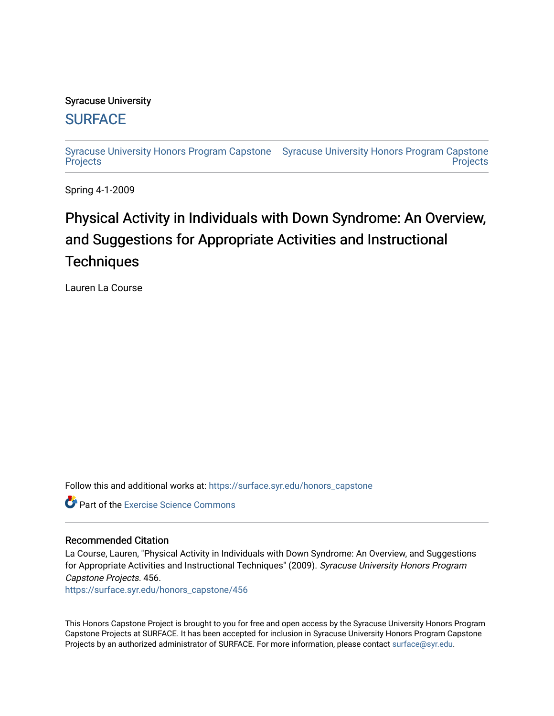## Syracuse University

## **[SURFACE](https://surface.syr.edu/)**

[Syracuse University Honors Program Capstone](https://surface.syr.edu/honors_capstone)  [Syracuse University Honors Program Capstone](https://surface.syr.edu/honors_capstones)  **[Projects](https://surface.syr.edu/honors_capstone) Projects** 

Spring 4-1-2009

# Physical Activity in Individuals with Down Syndrome: An Overview, and Suggestions for Appropriate Activities and Instructional **Techniques**

Lauren La Course

Follow this and additional works at: [https://surface.syr.edu/honors\\_capstone](https://surface.syr.edu/honors_capstone?utm_source=surface.syr.edu%2Fhonors_capstone%2F456&utm_medium=PDF&utm_campaign=PDFCoverPages) 

**C** Part of the [Exercise Science Commons](http://network.bepress.com/hgg/discipline/1091?utm_source=surface.syr.edu%2Fhonors_capstone%2F456&utm_medium=PDF&utm_campaign=PDFCoverPages)

## Recommended Citation

La Course, Lauren, "Physical Activity in Individuals with Down Syndrome: An Overview, and Suggestions for Appropriate Activities and Instructional Techniques" (2009). Syracuse University Honors Program Capstone Projects. 456.

[https://surface.syr.edu/honors\\_capstone/456](https://surface.syr.edu/honors_capstone/456?utm_source=surface.syr.edu%2Fhonors_capstone%2F456&utm_medium=PDF&utm_campaign=PDFCoverPages) 

This Honors Capstone Project is brought to you for free and open access by the Syracuse University Honors Program Capstone Projects at SURFACE. It has been accepted for inclusion in Syracuse University Honors Program Capstone Projects by an authorized administrator of SURFACE. For more information, please contact [surface@syr.edu.](mailto:surface@syr.edu)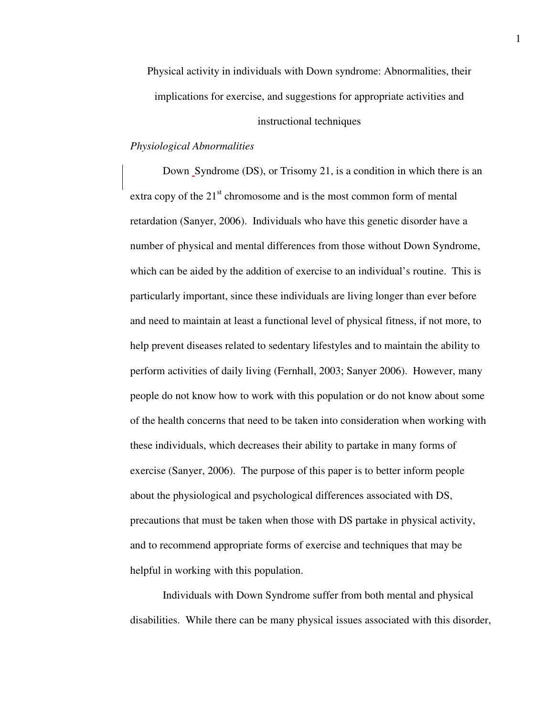Physical activity in individuals with Down syndrome: Abnormalities, their implications for exercise, and suggestions for appropriate activities and

## instructional techniques

## *Physiological Abnormalities*

Down Syndrome (DS), or Trisomy 21, is a condition in which there is an extra copy of the  $21<sup>st</sup>$  chromosome and is the most common form of mental retardation (Sanyer, 2006). Individuals who have this genetic disorder have a number of physical and mental differences from those without Down Syndrome, which can be aided by the addition of exercise to an individual's routine. This is particularly important, since these individuals are living longer than ever before and need to maintain at least a functional level of physical fitness, if not more, to help prevent diseases related to sedentary lifestyles and to maintain the ability to perform activities of daily living (Fernhall, 2003; Sanyer 2006). However, many people do not know how to work with this population or do not know about some of the health concerns that need to be taken into consideration when working with these individuals, which decreases their ability to partake in many forms of exercise (Sanyer, 2006). The purpose of this paper is to better inform people about the physiological and psychological differences associated with DS, precautions that must be taken when those with DS partake in physical activity, and to recommend appropriate forms of exercise and techniques that may be helpful in working with this population.

 Individuals with Down Syndrome suffer from both mental and physical disabilities. While there can be many physical issues associated with this disorder,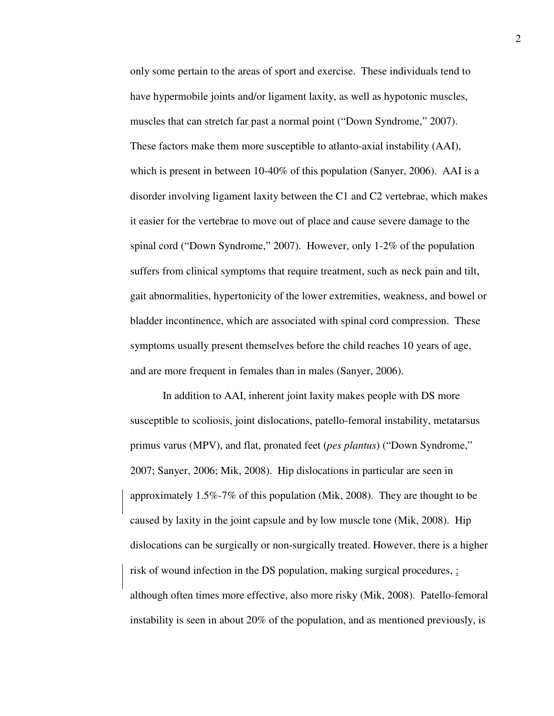only some pertain to the areas of sport and exercise. These individuals tend to have hypermobile joints and/or ligament laxity, as well as hypotonic muscles, muscles that can stretch far past a normal point ("Down Syndrome," 2007). These factors make them more susceptible to atlanto-axial instability (AAI), which is present in between 10-40% of this population (Sanyer, 2006). AAI is a disorder involving ligament laxity between the C1 and C2 vertebrae, which makes it easier for the vertebrae to move out of place and cause severe damage to the spinal cord ("Down Syndrome," 2007). However, only 1-2% of the population suffers from clinical symptoms that require treatment, such as neck pain and tilt, gait abnormalities, hypertonicity of the lower extremities, weakness, and bowel or bladder incontinence, which are associated with spinal cord compression. These symptoms usually present themselves before the child reaches 10 years of age, and are more frequent in females than in males (Sanyer, 2006).

In addition to AAI, inherent joint laxity makes people with DS more susceptible to scoliosis, joint dislocations, patello-femoral instability, metatarsus primus varus (MPV), and flat, pronated feet (*pes plantus*) ("Down Syndrome," 2007; Sanyer, 2006; Mik, 2008). Hip dislocations in particular are seen in approximately 1.5%-7% of this population (Mik, 2008). They are thought to be caused by laxity in the joint capsule and by low muscle tone (Mik, 2008). Hip dislocations can be surgically or non-surgically treated. However, there is a higher risk of wound infection in the DS population, making surgical procedures, ; although often times more effective, also more risky (Mik, 2008). Patello-femoral instability is seen in about 20% of the population, and as mentioned previously, is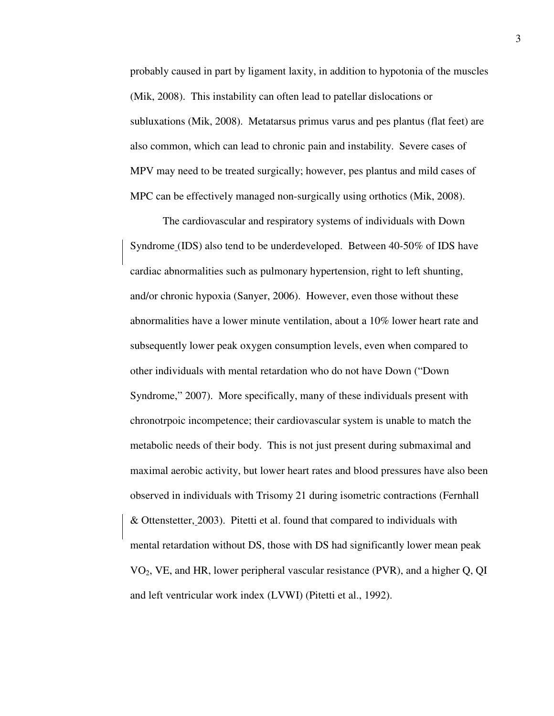probably caused in part by ligament laxity, in addition to hypotonia of the muscles (Mik, 2008). This instability can often lead to patellar dislocations or subluxations (Mik, 2008). Metatarsus primus varus and pes plantus (flat feet) are also common, which can lead to chronic pain and instability. Severe cases of MPV may need to be treated surgically; however, pes plantus and mild cases of MPC can be effectively managed non-surgically using orthotics (Mik, 2008).

The cardiovascular and respiratory systems of individuals with Down Syndrome (IDS) also tend to be underdeveloped. Between 40-50% of IDS have cardiac abnormalities such as pulmonary hypertension, right to left shunting, and/or chronic hypoxia (Sanyer, 2006). However, even those without these abnormalities have a lower minute ventilation, about a 10% lower heart rate and subsequently lower peak oxygen consumption levels, even when compared to other individuals with mental retardation who do not have Down ("Down Syndrome," 2007). More specifically, many of these individuals present with chronotrpoic incompetence; their cardiovascular system is unable to match the metabolic needs of their body. This is not just present during submaximal and maximal aerobic activity, but lower heart rates and blood pressures have also been observed in individuals with Trisomy 21 during isometric contractions (Fernhall & Ottenstetter, 2003). Pitetti et al. found that compared to individuals with mental retardation without DS, those with DS had significantly lower mean peak VO2, VE, and HR, lower peripheral vascular resistance (PVR), and a higher Q, QI and left ventricular work index (LVWI) (Pitetti et al., 1992).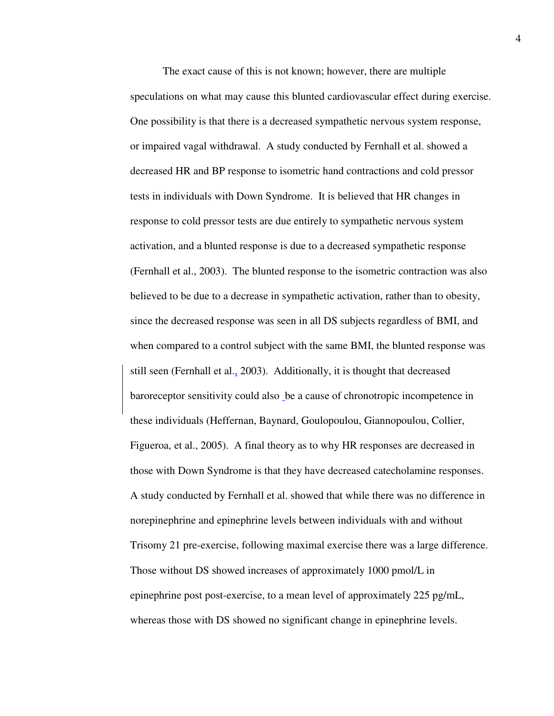The exact cause of this is not known; however, there are multiple speculations on what may cause this blunted cardiovascular effect during exercise. One possibility is that there is a decreased sympathetic nervous system response, or impaired vagal withdrawal. A study conducted by Fernhall et al. showed a decreased HR and BP response to isometric hand contractions and cold pressor tests in individuals with Down Syndrome. It is believed that HR changes in response to cold pressor tests are due entirely to sympathetic nervous system activation, and a blunted response is due to a decreased sympathetic response (Fernhall et al., 2003). The blunted response to the isometric contraction was also believed to be due to a decrease in sympathetic activation, rather than to obesity, since the decreased response was seen in all DS subjects regardless of BMI, and when compared to a control subject with the same BMI, the blunted response was still seen (Fernhall et al., 2003). Additionally, it is thought that decreased baroreceptor sensitivity could also be a cause of chronotropic incompetence in these individuals (Heffernan, Baynard, Goulopoulou, Giannopoulou, Collier, Figueroa, et al., 2005). A final theory as to why HR responses are decreased in those with Down Syndrome is that they have decreased catecholamine responses. A study conducted by Fernhall et al. showed that while there was no difference in norepinephrine and epinephrine levels between individuals with and without Trisomy 21 pre-exercise, following maximal exercise there was a large difference. Those without DS showed increases of approximately 1000 pmol/L in epinephrine post post-exercise, to a mean level of approximately 225 pg/mL, whereas those with DS showed no significant change in epinephrine levels.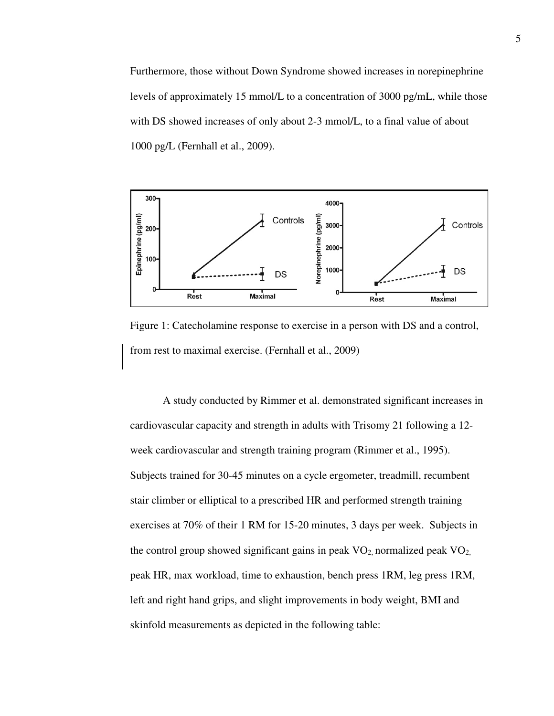Furthermore, those without Down Syndrome showed increases in norepinephrine levels of approximately 15 mmol/L to a concentration of 3000 pg/mL, while those with DS showed increases of only about 2-3 mmol/L, to a final value of about 1000 pg/L (Fernhall et al., 2009).



Figure 1: Catecholamine response to exercise in a person with DS and a control, from rest to maximal exercise. (Fernhall et al., 2009)

A study conducted by Rimmer et al. demonstrated significant increases in cardiovascular capacity and strength in adults with Trisomy 21 following a 12 week cardiovascular and strength training program (Rimmer et al., 1995). Subjects trained for 30-45 minutes on a cycle ergometer, treadmill, recumbent stair climber or elliptical to a prescribed HR and performed strength training exercises at 70% of their 1 RM for 15-20 minutes, 3 days per week. Subjects in the control group showed significant gains in peak  $VO<sub>2</sub>$  normalized peak  $VO<sub>2</sub>$ , peak HR, max workload, time to exhaustion, bench press 1RM, leg press 1RM, left and right hand grips, and slight improvements in body weight, BMI and skinfold measurements as depicted in the following table: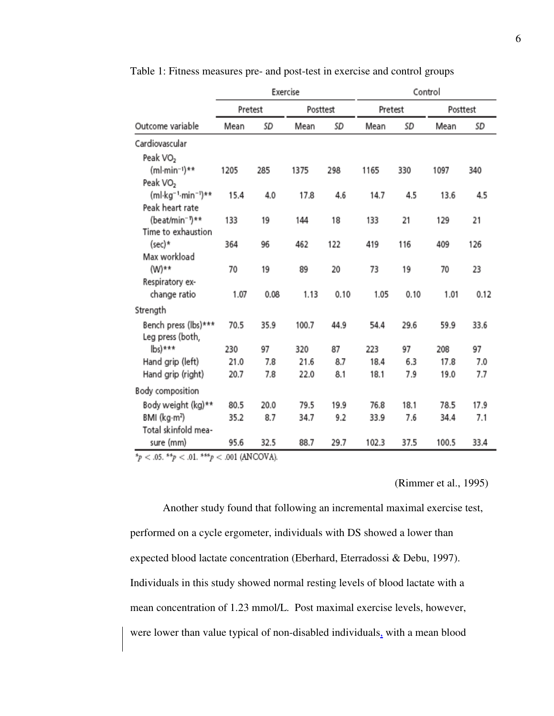|                                             | Exercise |      |          |      | Control |      |          |      |
|---------------------------------------------|----------|------|----------|------|---------|------|----------|------|
|                                             | Pretest  |      | Posttest |      | Pretest |      | Posttest |      |
| Outcome variable                            | Mean     | SD   | Mean     | SD   | Mean    | SD   | Mean     | SD   |
| Cardiovascular                              |          |      |          |      |         |      |          |      |
| Peak VO <sub>2</sub>                        |          |      |          |      |         |      |          |      |
| (ml-min-1)**                                | 1205     | 285  | 1375     | 298  | 1165    | 330  | 1097     | 340  |
| Peak VO <sub>2</sub>                        |          |      |          |      |         |      |          |      |
| (ml·kg <sup>-1</sup> ·min <sup>-1</sup> )** | 15.4     | 4.0  | 17.8     | 4.6  | 14.7    | 4.5  | 13.6     | 4.5  |
| Peak heart rate                             |          |      |          |      |         |      |          |      |
| (beat/min <sup>-1</sup> )**                 | 133      | 19   | 144      | 18   | 133     | 21   | 129      | 21   |
| Time to exhaustion                          |          |      |          |      |         |      |          |      |
| (sec)*                                      | 364      | 96   | 462      | 122  | 419     | 116  | 409      | 126  |
| Max workload                                |          |      |          |      |         |      |          |      |
| (W)**                                       | 70       | 19   | 89       | 20   | 73      | 19   | 70       | 23   |
| Respiratory ex-                             |          |      |          |      |         |      |          |      |
| change ratio                                | 1.07     | 0.08 | 1.13     | 0.10 | 1.05    | 0.10 | 1.01     | 0.12 |
| Strength                                    |          |      |          |      |         |      |          |      |
| Bench press (lbs)***                        | 70.5     | 35.9 | 100.7    | 44.9 | 54.4    | 29.6 | 59.9     | 33.6 |
| Leg press (both,                            |          |      |          |      |         |      |          |      |
| $\mathsf{lbs})$ ***                         | 230      | 97   | 320      | 87   | 223     | 97   | 208      | 97   |
| Hand grip (left)                            | 21.0     | 7.8  | 21.6     | 8.7  | 18.4    | 6.3  | 17.8     | 7.0  |
| Hand grip (right)                           | 20.7     | 7.8  | 22.0     | 8.1  | 18.1    | 7.9  | 19.0     | 7.7  |
| Body composition                            |          |      |          |      |         |      |          |      |
| Body weight (kg)**                          | 80.5     | 20.0 | 79.5     | 19.9 | 76.8    | 18.1 | 78.5     | 17.9 |
| $BMI$ (kg·m <sup>2</sup> )                  | 35.2     | 8.7  | 34.7     | 9.2  | 33.9    | 7.6  | 34.4     | 7.1  |
| Total skinfold mea-                         |          |      |          |      |         |      |          |      |
| sure (mm)                                   | 95.6     | 32.5 | 88.7     | 29.7 | 102.3   | 37.5 | 100.5    | 33.4 |

Table 1: Fitness measures pre- and post-test in exercise and control groups

\*p < .05. \*\*p < .01. \*\*\*p < .001 (ANCOVA).

(Rimmer et al., 1995)

Another study found that following an incremental maximal exercise test, performed on a cycle ergometer, individuals with DS showed a lower than expected blood lactate concentration (Eberhard, Eterradossi & Debu, 1997). Individuals in this study showed normal resting levels of blood lactate with a mean concentration of 1.23 mmol/L. Post maximal exercise levels, however, were lower than value typical of non-disabled individuals, with a mean blood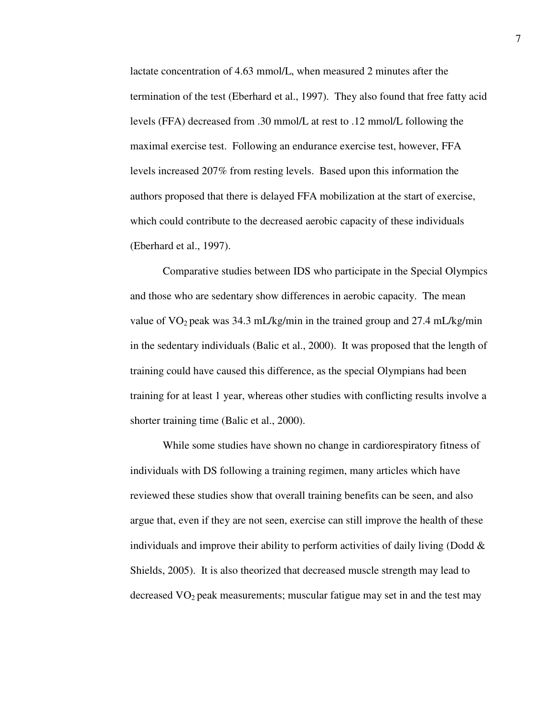lactate concentration of 4.63 mmol/L, when measured 2 minutes after the termination of the test (Eberhard et al., 1997). They also found that free fatty acid levels (FFA) decreased from .30 mmol/L at rest to .12 mmol/L following the maximal exercise test. Following an endurance exercise test, however, FFA levels increased 207% from resting levels. Based upon this information the authors proposed that there is delayed FFA mobilization at the start of exercise, which could contribute to the decreased aerobic capacity of these individuals (Eberhard et al., 1997).

Comparative studies between IDS who participate in the Special Olympics and those who are sedentary show differences in aerobic capacity. The mean value of  $VO_2$  peak was 34.3 mL/kg/min in the trained group and 27.4 mL/kg/min in the sedentary individuals (Balic et al., 2000). It was proposed that the length of training could have caused this difference, as the special Olympians had been training for at least 1 year, whereas other studies with conflicting results involve a shorter training time (Balic et al., 2000).

While some studies have shown no change in cardiorespiratory fitness of individuals with DS following a training regimen, many articles which have reviewed these studies show that overall training benefits can be seen, and also argue that, even if they are not seen, exercise can still improve the health of these individuals and improve their ability to perform activities of daily living (Dodd  $\&$ Shields, 2005). It is also theorized that decreased muscle strength may lead to decreased  $VO<sub>2</sub>$  peak measurements; muscular fatigue may set in and the test may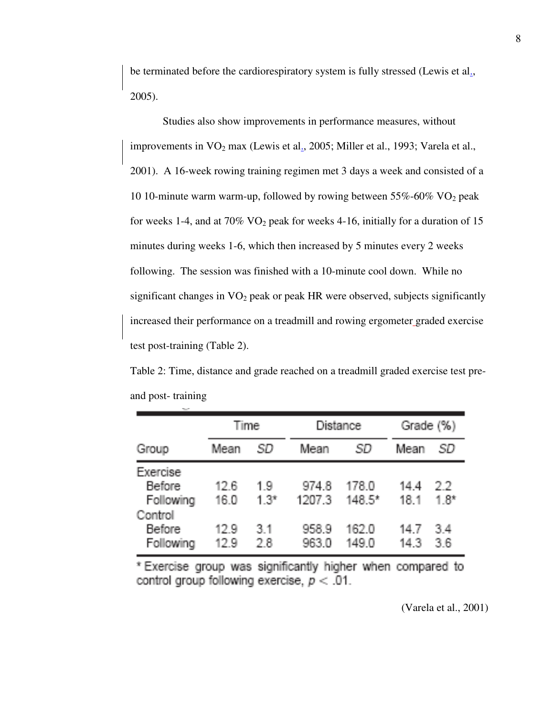be terminated before the cardiorespiratory system is fully stressed (Lewis et al., 2005).

Studies also show improvements in performance measures, without improvements in  $VO<sub>2</sub>$  max (Lewis et al., 2005; Miller et al., 1993; Varela et al., 2001). A 16-week rowing training regimen met 3 days a week and consisted of a 10 10-minute warm warm-up, followed by rowing between  $55\% - 60\%$  VO<sub>2</sub> peak for weeks 1-4, and at  $70\%$  VO<sub>2</sub> peak for weeks 4-16, initially for a duration of 15 minutes during weeks 1-6, which then increased by 5 minutes every 2 weeks following. The session was finished with a 10-minute cool down. While no significant changes in  $VO<sub>2</sub>$  peak or peak HR were observed, subjects significantly increased their performance on a treadmill and rowing ergometer graded exercise test post-training (Table 2).

Table 2: Time, distance and grade reached on a treadmill graded exercise test preand post- training

|                                                   |              | Time          |                 | <b>Distance</b>   | Grade (%)    |              |
|---------------------------------------------------|--------------|---------------|-----------------|-------------------|--------------|--------------|
| Group                                             | Mean         | .SD.          | Mean            | .SD               | Mean         | SD           |
| Exercise<br><b>Before</b><br>Following<br>Control | 12.6<br>16.0 | 1.9<br>$1.3*$ | 974.8<br>1207.3 | 178.0<br>$148.5*$ | 14.4<br>18.1 | 22<br>$1.8*$ |
| <b>Before</b><br>Following                        | 12.9<br>12.9 | 3.1<br>28     | 958.9<br>963.0  | 162.0<br>149.0    | 14.7<br>14.3 | 3.4<br>36    |

\* Exercise group was significantly higher when compared to control group following exercise,  $p < .01$ .

(Varela et al., 2001)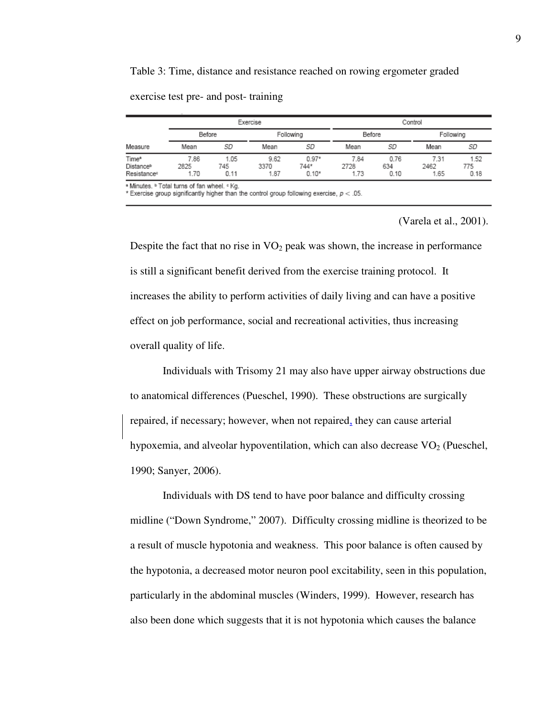Table 3: Time, distance and resistance reached on rowing ergometer graded

|                                               | Exercise             |                     |                      |                            | Control              |                     |                      |                     |
|-----------------------------------------------|----------------------|---------------------|----------------------|----------------------------|----------------------|---------------------|----------------------|---------------------|
|                                               | Before               |                     | Following            |                            | Before               |                     | Following            |                     |
| Measure                                       | Mean                 | SD                  | Mean                 | SD                         | Mean                 | SD                  | Mean                 | SD                  |
| Time*<br>Distanceb<br>Resistance <sup>e</sup> | 7.86<br>2825<br>1.70 | 1.05<br>745<br>0.11 | 9.62<br>3370<br>1.87 | $0.97*$<br>744*<br>$0.10*$ | 7.84<br>2728<br>1.73 | 0.76<br>634<br>0.10 | 7.31<br>2462<br>1.65 | 1.52<br>775<br>0.18 |

exercise test pre- and post- training

\* Minutes. <sup>b</sup> Total turns of fan wheel. <sup>e</sup> Kg.

\* Exercise group significantly higher than the control group following exercise,  $p < .05$ .

(Varela et al., 2001).

Despite the fact that no rise in  $VO<sub>2</sub>$  peak was shown, the increase in performance is still a significant benefit derived from the exercise training protocol. It increases the ability to perform activities of daily living and can have a positive effect on job performance, social and recreational activities, thus increasing overall quality of life.

Individuals with Trisomy 21 may also have upper airway obstructions due to anatomical differences (Pueschel, 1990). These obstructions are surgically repaired, if necessary; however, when not repaired, they can cause arterial hypoxemia, and alveolar hypoventilation, which can also decrease  $VO<sub>2</sub>$  (Pueschel, 1990; Sanyer, 2006).

Individuals with DS tend to have poor balance and difficulty crossing midline ("Down Syndrome," 2007). Difficulty crossing midline is theorized to be a result of muscle hypotonia and weakness. This poor balance is often caused by the hypotonia, a decreased motor neuron pool excitability, seen in this population, particularly in the abdominal muscles (Winders, 1999). However, research has also been done which suggests that it is not hypotonia which causes the balance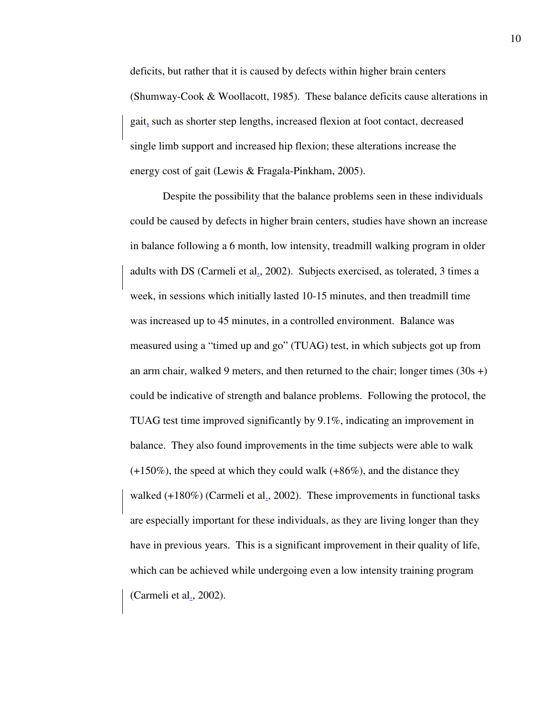deficits, but rather that it is caused by defects within higher brain centers (Shumway-Cook & Woollacott, 1985). These balance deficits cause alterations in gait, such as shorter step lengths, increased flexion at foot contact, decreased single limb support and increased hip flexion; these alterations increase the energy cost of gait (Lewis & Fragala-Pinkham, 2005).

Despite the possibility that the balance problems seen in these individuals could be caused by defects in higher brain centers, studies have shown an increase in balance following a 6 month, low intensity, treadmill walking program in older adults with DS (Carmeli et al., 2002). Subjects exercised, as tolerated, 3 times a week, in sessions which initially lasted 10-15 minutes, and then treadmill time was increased up to 45 minutes, in a controlled environment. Balance was measured using a "timed up and go" (TUAG) test, in which subjects got up from an arm chair, walked 9 meters, and then returned to the chair; longer times  $(30s +)$ could be indicative of strength and balance problems. Following the protocol, the TUAG test time improved significantly by 9.1%, indicating an improvement in balance. They also found improvements in the time subjects were able to walk  $(+150\%)$ , the speed at which they could walk  $(+86\%)$ , and the distance they walked  $(+180\%)$  (Carmeli et al., 2002). These improvements in functional tasks are especially important for these individuals, as they are living longer than they have in previous years. This is a significant improvement in their quality of life, which can be achieved while undergoing even a low intensity training program (Carmeli et al., 2002).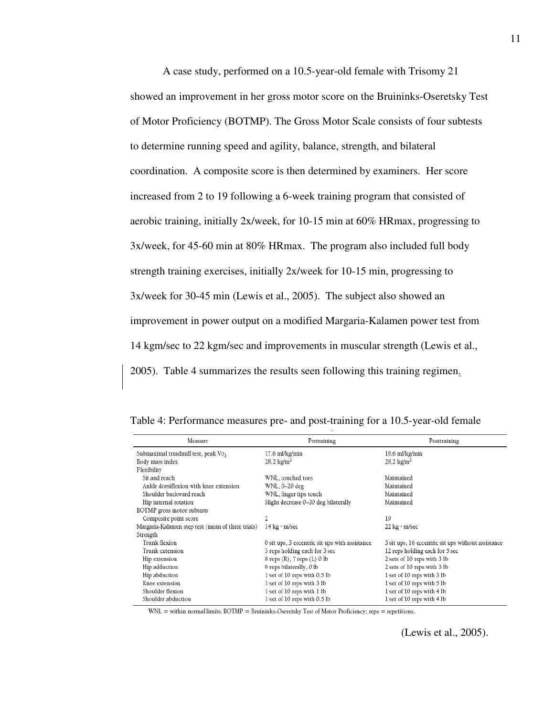A case study, performed on a 10.5-year-old female with Trisomy 21 showed an improvement in her gross motor score on the Bruininks-Oseretsky Test of Motor Proficiency (BOTMP). The Gross Motor Scale consists of four subtests to determine running speed and agility, balance, strength, and bilateral coordination. A composite score is then determined by examiners. Her score increased from 2 to 19 following a 6-week training program that consisted of aerobic training, initially 2x/week, for 10-15 min at 60% HRmax, progressing to 3x/week, for 45-60 min at 80% HRmax. The program also included full body strength training exercises, initially 2x/week for 10-15 min, progressing to 3x/week for 30-45 min (Lewis et al., 2005). The subject also showed an improvement in power output on a modified Margaria-Kalamen power test from 14 kgm/sec to 22 kgm/sec and improvements in muscular strength (Lewis et al., 2005). Table 4 summarizes the results seen following this training regimen.

| Measure                                           | Pretraining                                    | Posttraining                                       |
|---------------------------------------------------|------------------------------------------------|----------------------------------------------------|
| Submaximal treadmill test, peak Vo,               | 17.6 ml/kg/min                                 | 18.6 ml/kg/min                                     |
| Body mass index                                   | $28.2 \text{ kg/m}^2$                          | $28.2 \text{ kg/m}^2$                              |
| Flexibility                                       |                                                |                                                    |
| Sit and reach                                     | WNL, touched toes                              | Maintained                                         |
| Ankle dorsiflexion with knee extension            | WNL, 0-20 deg                                  | Maintained                                         |
| Shoulder backward reach                           | WNL, finger tips touch                         | Maintained                                         |
| Hip internal rotation                             | Slight decrease 0-30 deg bilaterally           | Maintained                                         |
| BOTMP gross motor subtests                        |                                                |                                                    |
| Composite point score                             |                                                | 10                                                 |
| Margaria-Kalamen step test (mean of three trials) | 14 kg · m/sec                                  | $22 \text{ kg} \cdot \text{m/sec}$                 |
| Strength                                          |                                                |                                                    |
| Trunk flexion                                     | 0 sit ups, 3 eccentric sit ups with assistance | 3 sit ups, 16 eccentric sit ups without assistance |
| Trunk extension                                   | 3 reps holding each for 3 sec                  | 12 reps holding each for 5 sec                     |
| Hip extension                                     | $8$ reps $(R)$ , $7$ reps $(L)$ 0 lb           | 2 sets of 10 reps with 3 lb                        |
| Hip adduction                                     | 9 reps bilaterally, 0 lb                       | 2 sets of 10 reps with 3 lb                        |
| Hip abduction                                     | 1 set of 10 reps with 0.5 lb                   | 1 set of 10 reps with 3 lb                         |
| Knee extension                                    | 1 set of 10 reps with 3 lb                     | 1 set of 10 reps with 5 lb                         |
| Shoulder flexion                                  | 1 set of 10 reps with 1 lb                     | 1 set of 10 reps with 4 lb                         |
| Shoulder abduction                                | 1 set of 10 reps with 0.5 lb                   | 1 set of 10 reps with 4 lb                         |

Table 4: Performance measures pre- and post-training for a 10.5-year-old female

 $WNL =$  within normal limits;  $BOTMP =$  Bruininks-Oseretsky Test of Motor Proficiency; reps = repetitions.

(Lewis et al., 2005).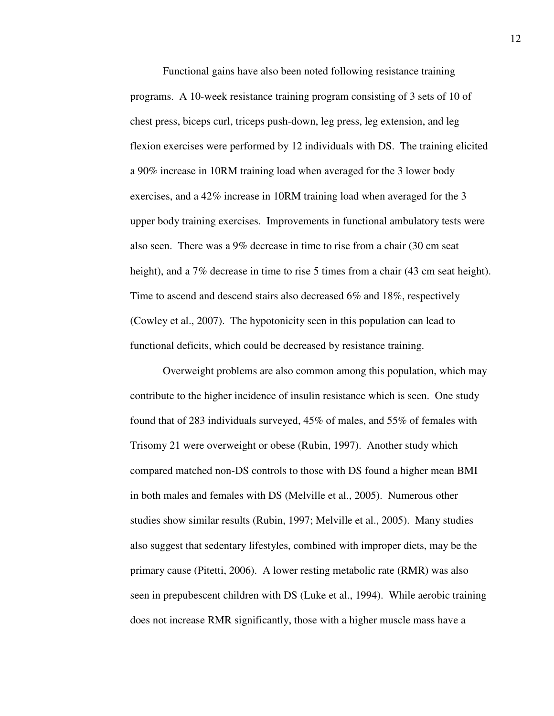Functional gains have also been noted following resistance training programs. A 10-week resistance training program consisting of 3 sets of 10 of chest press, biceps curl, triceps push-down, leg press, leg extension, and leg flexion exercises were performed by 12 individuals with DS. The training elicited a 90% increase in 10RM training load when averaged for the 3 lower body exercises, and a 42% increase in 10RM training load when averaged for the 3 upper body training exercises. Improvements in functional ambulatory tests were also seen. There was a 9% decrease in time to rise from a chair (30 cm seat height), and a 7% decrease in time to rise 5 times from a chair (43 cm seat height). Time to ascend and descend stairs also decreased 6% and 18%, respectively (Cowley et al., 2007). The hypotonicity seen in this population can lead to functional deficits, which could be decreased by resistance training.

Overweight problems are also common among this population, which may contribute to the higher incidence of insulin resistance which is seen. One study found that of 283 individuals surveyed, 45% of males, and 55% of females with Trisomy 21 were overweight or obese (Rubin, 1997). Another study which compared matched non-DS controls to those with DS found a higher mean BMI in both males and females with DS (Melville et al., 2005). Numerous other studies show similar results (Rubin, 1997; Melville et al., 2005). Many studies also suggest that sedentary lifestyles, combined with improper diets, may be the primary cause (Pitetti, 2006). A lower resting metabolic rate (RMR) was also seen in prepubescent children with DS (Luke et al., 1994). While aerobic training does not increase RMR significantly, those with a higher muscle mass have a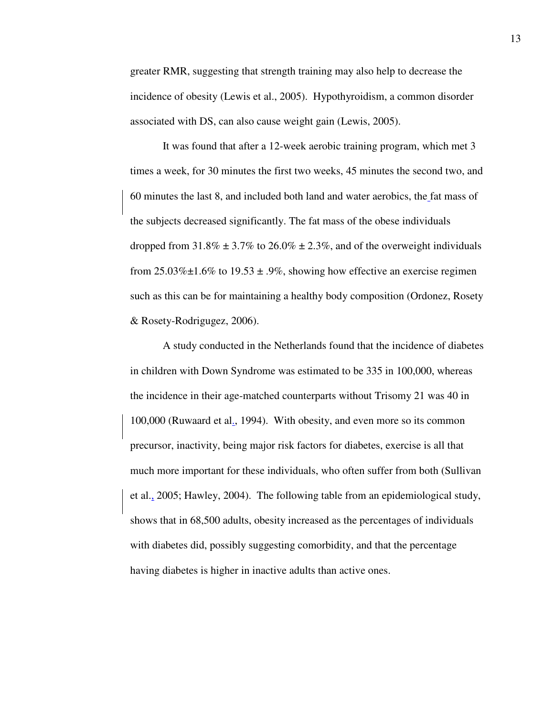greater RMR, suggesting that strength training may also help to decrease the incidence of obesity (Lewis et al., 2005). Hypothyroidism, a common disorder associated with DS, can also cause weight gain (Lewis, 2005).

It was found that after a 12-week aerobic training program, which met 3 times a week, for 30 minutes the first two weeks, 45 minutes the second two, and 60 minutes the last 8, and included both land and water aerobics, the fat mass of the subjects decreased significantly. The fat mass of the obese individuals dropped from  $31.8\% \pm 3.7\%$  to  $26.0\% \pm 2.3\%$ , and of the overweight individuals from  $25.03\% \pm 1.6\%$  to  $19.53 \pm .9\%$ , showing how effective an exercise regimen such as this can be for maintaining a healthy body composition (Ordonez, Rosety & Rosety-Rodrigugez, 2006).

A study conducted in the Netherlands found that the incidence of diabetes in children with Down Syndrome was estimated to be 335 in 100,000, whereas the incidence in their age-matched counterparts without Trisomy 21 was 40 in 100,000 (Ruwaard et al., 1994). With obesity, and even more so its common precursor, inactivity, being major risk factors for diabetes, exercise is all that much more important for these individuals, who often suffer from both (Sullivan et al., 2005; Hawley, 2004). The following table from an epidemiological study, shows that in 68,500 adults, obesity increased as the percentages of individuals with diabetes did, possibly suggesting comorbidity, and that the percentage having diabetes is higher in inactive adults than active ones.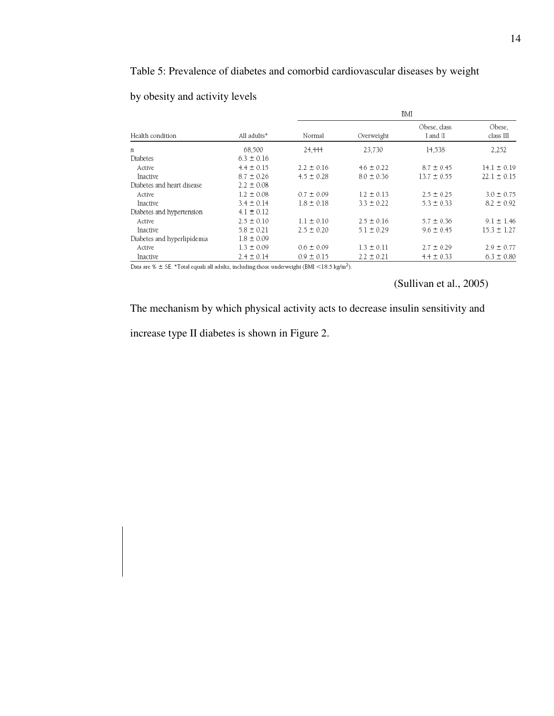## Table 5: Prevalence of diabetes and comorbid cardiovascular diseases by weight

|                             |                | BMI                    |                |                          |                     |  |
|-----------------------------|----------------|------------------------|----------------|--------------------------|---------------------|--|
| Health condition            | All adults*    | Normal                 | Overweight     | Obese, class<br>I and II | Obese,<br>class III |  |
| $\boldsymbol{n}$            | 68,500         | 24.444                 | 23.730         | 14,538                   | 2,252               |  |
| Diabetes                    | $6.3 \pm 0.16$ |                        |                |                          |                     |  |
| Active                      | $4.4 \pm 0.15$ | $2.2 \pm 0.16$         | $4.6 \pm 0.22$ | $8.7 \pm 0.45$           | $14.1 \pm 0.19$     |  |
| Inactive                    | $8.7 \pm 0.26$ | $4.5 \pm 0.28$         | $8.0 \pm 0.36$ | $13.7 \pm 0.55$          | $22.1 \pm 0.15$     |  |
| Diabetes and heart disease  | $2.2 \pm 0.08$ |                        |                |                          |                     |  |
| Active                      | $1.2 \pm 0.08$ | $0.7 \pm 0.09$         | $1.2 \pm 0.13$ | $2.5 \pm 0.25$           | $3.0 \pm 0.75$      |  |
| Inactive                    | $3.4 \pm 0.14$ | $1.8 \pm 0.18$         | $3.3 \pm 0.22$ | $5.3 \pm 0.33$           | $8.2 \pm 0.92$      |  |
| Diabetes and hypertension   | $4.1 \pm 0.12$ |                        |                |                          |                     |  |
| Active                      | $2.5 \pm 0.10$ | $1.1 \pm 0.10$         | $2.5 \pm 0.16$ | $5.7 \pm 0.36$           | $9.1 \pm 1.46$      |  |
| Inactive                    | $5.8 \pm 0.21$ | $2.5 \pm 0.20$         | $5.1 \pm 0.29$ | $9.6 \pm 0.45$           | $15.3 \pm 1.27$     |  |
| Diabetes and hyperlipidemia | $1.8 \pm 0.09$ |                        |                |                          |                     |  |
| Active                      | $1.3 \pm 0.09$ | $0.6 \pm 0.09$         | $1.3 \pm 0.11$ | $2.7 \pm 0.29$           | $2.9 \pm 0.77$      |  |
| Inactive                    | $2.4 \pm 0.14$ | $0.9 \pm 0.15$<br>. 7. | $2.2 \pm 0.21$ | $4.4 \pm 0.33$           | $6.3 \pm 0.80$      |  |

## by obesity and activity levels

Data are %  $\pm$  SE. \*Total equals all adults, including those underweight (BMI <18.5 kg/m<sup>2</sup>).

(Sullivan et al., 2005)

The mechanism by which physical activity acts to decrease insulin sensitivity and

increase type II diabetes is shown in Figure 2.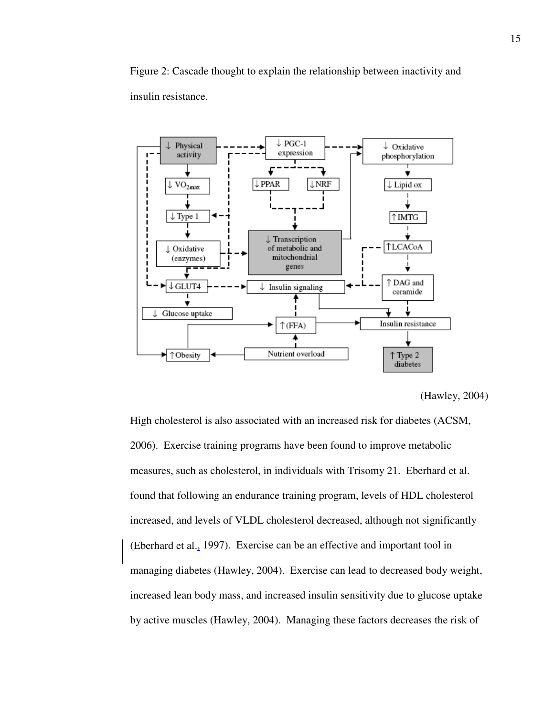Figure 2: Cascade thought to explain the relationship between inactivity and insulin resistance.



<sup>(</sup>Hawley, 2004)

High cholesterol is also associated with an increased risk for diabetes (ACSM, 2006). Exercise training programs have been found to improve metabolic measures, such as cholesterol, in individuals with Trisomy 21. Eberhard et al. found that following an endurance training program, levels of HDL cholesterol increased, and levels of VLDL cholesterol decreased, although not significantly (Eberhard et al., 1997). Exercise can be an effective and important tool in managing diabetes (Hawley, 2004). Exercise can lead to decreased body weight, increased lean body mass, and increased insulin sensitivity due to glucose uptake by active muscles (Hawley, 2004). Managing these factors decreases the risk of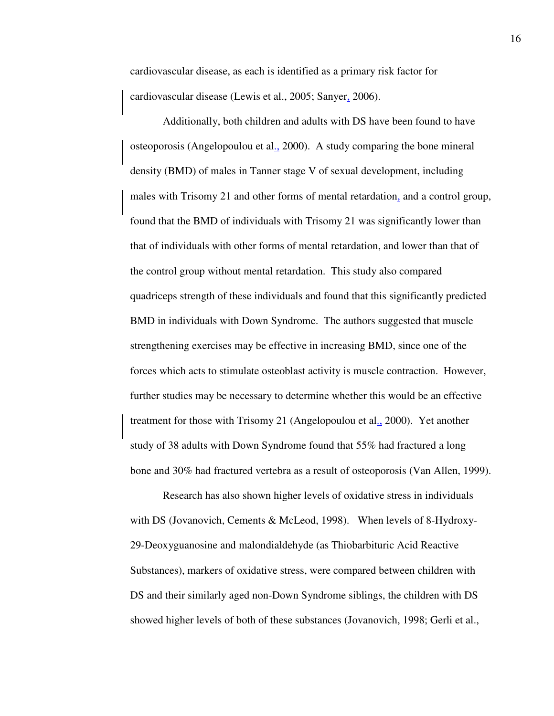cardiovascular disease, as each is identified as a primary risk factor for cardiovascular disease (Lewis et al., 2005; Sanyer, 2006).

Additionally, both children and adults with DS have been found to have osteoporosis (Angelopoulou et al., 2000). A study comparing the bone mineral density (BMD) of males in Tanner stage V of sexual development, including males with Trisomy 21 and other forms of mental retardation, and a control group, found that the BMD of individuals with Trisomy 21 was significantly lower than that of individuals with other forms of mental retardation, and lower than that of the control group without mental retardation. This study also compared quadriceps strength of these individuals and found that this significantly predicted BMD in individuals with Down Syndrome. The authors suggested that muscle strengthening exercises may be effective in increasing BMD, since one of the forces which acts to stimulate osteoblast activity is muscle contraction. However, further studies may be necessary to determine whether this would be an effective treatment for those with Trisomy 21 (Angelopoulou et al., 2000). Yet another study of 38 adults with Down Syndrome found that 55% had fractured a long bone and 30% had fractured vertebra as a result of osteoporosis (Van Allen, 1999).

Research has also shown higher levels of oxidative stress in individuals with DS (Jovanovich, Cements & McLeod, 1998). When levels of 8-Hydroxy-29-Deoxyguanosine and malondialdehyde (as Thiobarbituric Acid Reactive Substances), markers of oxidative stress, were compared between children with DS and their similarly aged non-Down Syndrome siblings, the children with DS showed higher levels of both of these substances (Jovanovich, 1998; Gerli et al.,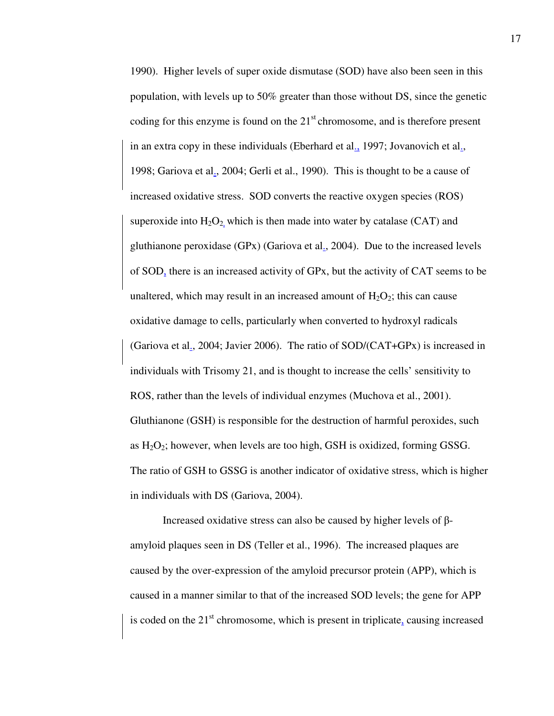1990). Higher levels of super oxide dismutase (SOD) have also been seen in this population, with levels up to 50% greater than those without DS, since the genetic coding for this enzyme is found on the  $21<sup>st</sup>$  chromosome, and is therefore present in an extra copy in these individuals (Eberhard et al., 1997; Jovanovich et al., 1998; Gariova et al., 2004; Gerli et al., 1990). This is thought to be a cause of increased oxidative stress. SOD converts the reactive oxygen species (ROS) superoxide into  $H_2O_2$  which is then made into water by catalase (CAT) and gluthianone peroxidase (GPx) (Gariova et al., 2004). Due to the increased levels of SOD, there is an increased activity of GPx, but the activity of CAT seems to be unaltered, which may result in an increased amount of  $H_2O_2$ ; this can cause oxidative damage to cells, particularly when converted to hydroxyl radicals (Gariova et al., 2004; Javier 2006). The ratio of SOD/(CAT+GPx) is increased in individuals with Trisomy 21, and is thought to increase the cells' sensitivity to ROS, rather than the levels of individual enzymes (Muchova et al., 2001). Gluthianone (GSH) is responsible for the destruction of harmful peroxides, such as  $H_2O_2$ ; however, when levels are too high, GSH is oxidized, forming GSSG. The ratio of GSH to GSSG is another indicator of oxidative stress, which is higher in individuals with DS (Gariova, 2004).

Increased oxidative stress can also be caused by higher levels of βamyloid plaques seen in DS (Teller et al., 1996). The increased plaques are caused by the over-expression of the amyloid precursor protein (APP), which is caused in a manner similar to that of the increased SOD levels; the gene for APP is coded on the  $21<sup>st</sup>$  chromosome, which is present in triplicate, causing increased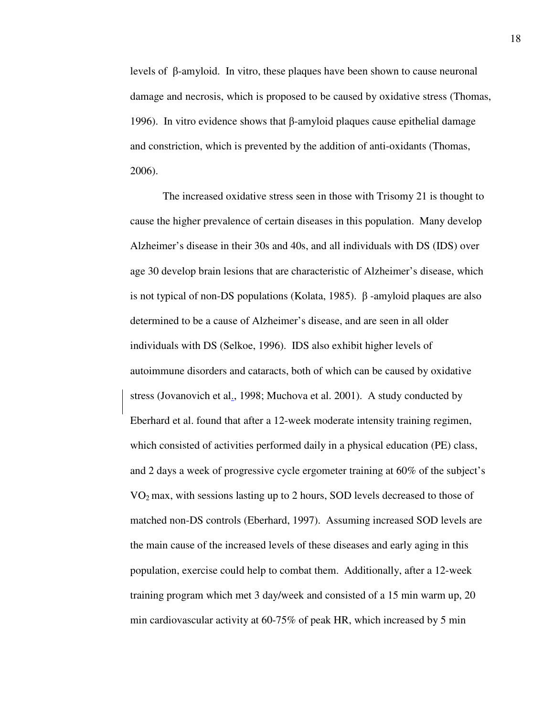levels of β-amyloid. In vitro, these plaques have been shown to cause neuronal damage and necrosis, which is proposed to be caused by oxidative stress (Thomas, 1996). In vitro evidence shows that β-amyloid plaques cause epithelial damage and constriction, which is prevented by the addition of anti-oxidants (Thomas, 2006).

The increased oxidative stress seen in those with Trisomy 21 is thought to cause the higher prevalence of certain diseases in this population. Many develop Alzheimer's disease in their 30s and 40s, and all individuals with DS (IDS) over age 30 develop brain lesions that are characteristic of Alzheimer's disease, which is not typical of non-DS populations (Kolata, 1985).  $β$ -amyloid plaques are also determined to be a cause of Alzheimer's disease, and are seen in all older individuals with DS (Selkoe, 1996). IDS also exhibit higher levels of autoimmune disorders and cataracts, both of which can be caused by oxidative stress (Jovanovich et al., 1998; Muchova et al. 2001). A study conducted by Eberhard et al. found that after a 12-week moderate intensity training regimen, which consisted of activities performed daily in a physical education (PE) class, and 2 days a week of progressive cycle ergometer training at 60% of the subject's VO2 max, with sessions lasting up to 2 hours, SOD levels decreased to those of matched non-DS controls (Eberhard, 1997). Assuming increased SOD levels are the main cause of the increased levels of these diseases and early aging in this population, exercise could help to combat them. Additionally, after a 12-week training program which met 3 day/week and consisted of a 15 min warm up, 20 min cardiovascular activity at 60-75% of peak HR, which increased by 5 min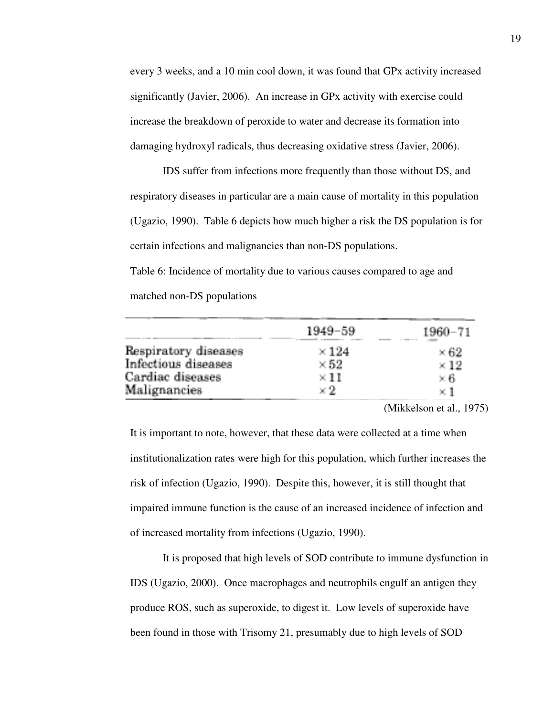every 3 weeks, and a 10 min cool down, it was found that GPx activity increased significantly (Javier, 2006). An increase in GPx activity with exercise could increase the breakdown of peroxide to water and decrease its formation into damaging hydroxyl radicals, thus decreasing oxidative stress (Javier, 2006).

IDS suffer from infections more frequently than those without DS, and respiratory diseases in particular are a main cause of mortality in this population (Ugazio, 1990). Table 6 depicts how much higher a risk the DS population is for certain infections and malignancies than non-DS populations.

Table 6: Incidence of mortality due to various causes compared to age and matched non-DS populations

|                      | $1949 - 59$  | 1960-71     |
|----------------------|--------------|-------------|
| Respiratory diseases | $\times 124$ | $\times 62$ |
| Infectious diseases  | $\times 52$  | $\times 12$ |
| Cardiac diseases     | $\times 11$  | $\times 6$  |
| Malignancies         | $\times 2$   | $\times$ 1  |

(Mikkelson et al., 1975)

It is important to note, however, that these data were collected at a time when institutionalization rates were high for this population, which further increases the risk of infection (Ugazio, 1990). Despite this, however, it is still thought that impaired immune function is the cause of an increased incidence of infection and of increased mortality from infections (Ugazio, 1990).

It is proposed that high levels of SOD contribute to immune dysfunction in IDS (Ugazio, 2000). Once macrophages and neutrophils engulf an antigen they produce ROS, such as superoxide, to digest it. Low levels of superoxide have been found in those with Trisomy 21, presumably due to high levels of SOD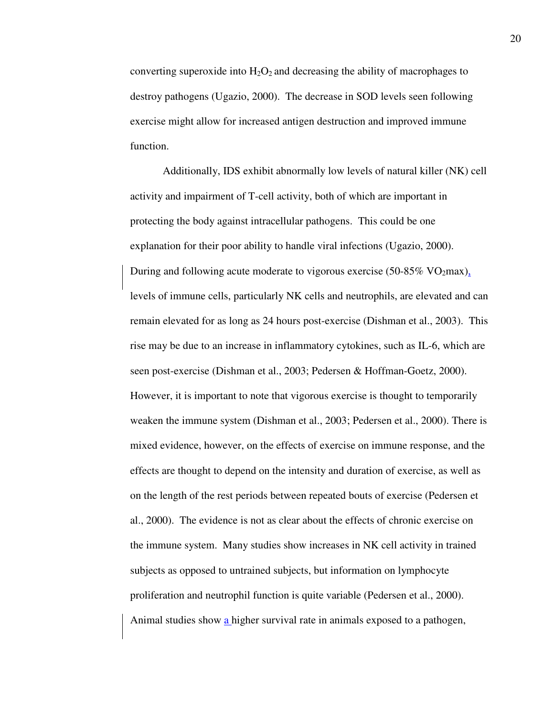converting superoxide into  $H_2O_2$  and decreasing the ability of macrophages to destroy pathogens (Ugazio, 2000). The decrease in SOD levels seen following exercise might allow for increased antigen destruction and improved immune function.

Additionally, IDS exhibit abnormally low levels of natural killer (NK) cell activity and impairment of T-cell activity, both of which are important in protecting the body against intracellular pathogens. This could be one explanation for their poor ability to handle viral infections (Ugazio, 2000). During and following acute moderate to vigorous exercise (50-85% VO<sub>2</sub>max), levels of immune cells, particularly NK cells and neutrophils, are elevated and can remain elevated for as long as 24 hours post-exercise (Dishman et al., 2003). This rise may be due to an increase in inflammatory cytokines, such as IL-6, which are seen post-exercise (Dishman et al., 2003; Pedersen & Hoffman-Goetz, 2000). However, it is important to note that vigorous exercise is thought to temporarily weaken the immune system (Dishman et al., 2003; Pedersen et al., 2000). There is mixed evidence, however, on the effects of exercise on immune response, and the effects are thought to depend on the intensity and duration of exercise, as well as on the length of the rest periods between repeated bouts of exercise (Pedersen et al., 2000). The evidence is not as clear about the effects of chronic exercise on the immune system. Many studies show increases in NK cell activity in trained subjects as opposed to untrained subjects, but information on lymphocyte proliferation and neutrophil function is quite variable (Pedersen et al., 2000). Animal studies show a higher survival rate in animals exposed to a pathogen,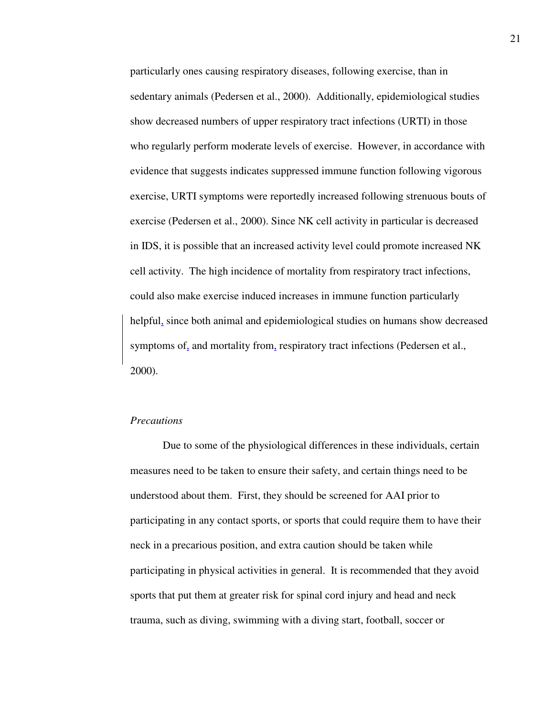particularly ones causing respiratory diseases, following exercise, than in sedentary animals (Pedersen et al., 2000). Additionally, epidemiological studies show decreased numbers of upper respiratory tract infections (URTI) in those who regularly perform moderate levels of exercise. However, in accordance with evidence that suggests indicates suppressed immune function following vigorous exercise, URTI symptoms were reportedly increased following strenuous bouts of exercise (Pedersen et al., 2000). Since NK cell activity in particular is decreased in IDS, it is possible that an increased activity level could promote increased NK cell activity. The high incidence of mortality from respiratory tract infections, could also make exercise induced increases in immune function particularly helpful, since both animal and epidemiological studies on humans show decreased symptoms of, and mortality from, respiratory tract infections (Pedersen et al., 2000).

## *Precautions*

Due to some of the physiological differences in these individuals, certain measures need to be taken to ensure their safety, and certain things need to be understood about them. First, they should be screened for AAI prior to participating in any contact sports, or sports that could require them to have their neck in a precarious position, and extra caution should be taken while participating in physical activities in general. It is recommended that they avoid sports that put them at greater risk for spinal cord injury and head and neck trauma, such as diving, swimming with a diving start, football, soccer or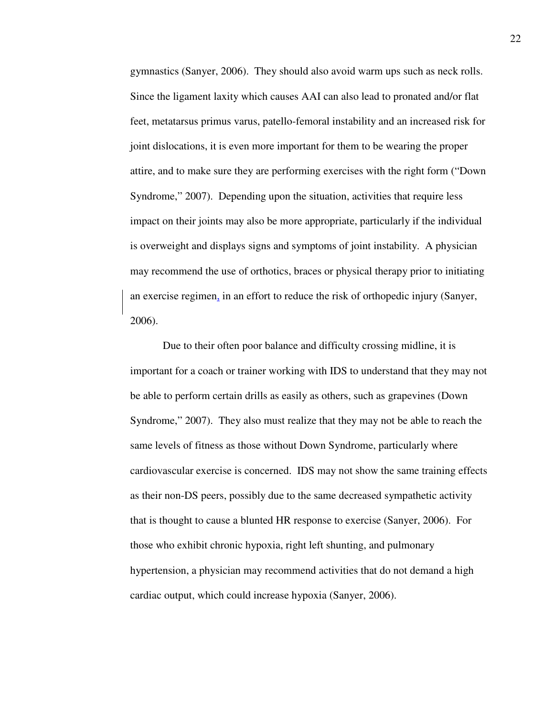gymnastics (Sanyer, 2006). They should also avoid warm ups such as neck rolls. Since the ligament laxity which causes AAI can also lead to pronated and/or flat feet, metatarsus primus varus, patello-femoral instability and an increased risk for joint dislocations, it is even more important for them to be wearing the proper attire, and to make sure they are performing exercises with the right form ("Down Syndrome," 2007). Depending upon the situation, activities that require less impact on their joints may also be more appropriate, particularly if the individual is overweight and displays signs and symptoms of joint instability. A physician may recommend the use of orthotics, braces or physical therapy prior to initiating an exercise regimen, in an effort to reduce the risk of orthopedic injury (Sanyer, 2006).

Due to their often poor balance and difficulty crossing midline, it is important for a coach or trainer working with IDS to understand that they may not be able to perform certain drills as easily as others, such as grapevines (Down Syndrome," 2007). They also must realize that they may not be able to reach the same levels of fitness as those without Down Syndrome, particularly where cardiovascular exercise is concerned. IDS may not show the same training effects as their non-DS peers, possibly due to the same decreased sympathetic activity that is thought to cause a blunted HR response to exercise (Sanyer, 2006). For those who exhibit chronic hypoxia, right left shunting, and pulmonary hypertension, a physician may recommend activities that do not demand a high cardiac output, which could increase hypoxia (Sanyer, 2006).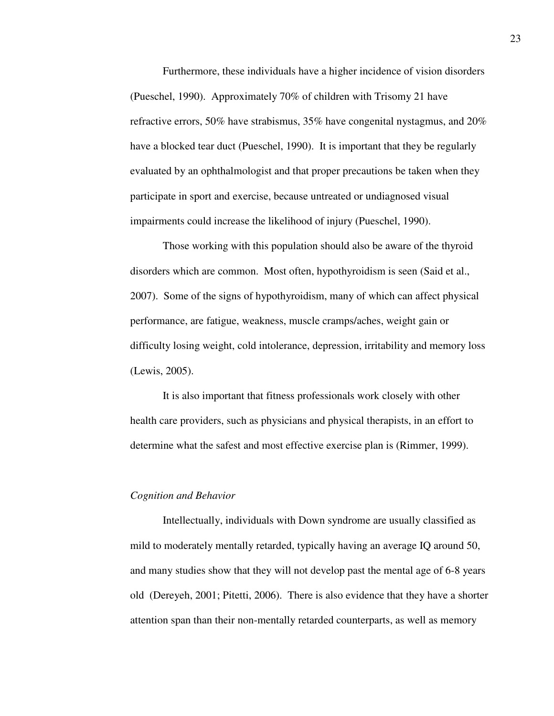Furthermore, these individuals have a higher incidence of vision disorders (Pueschel, 1990). Approximately 70% of children with Trisomy 21 have refractive errors, 50% have strabismus, 35% have congenital nystagmus, and 20% have a blocked tear duct (Pueschel, 1990). It is important that they be regularly evaluated by an ophthalmologist and that proper precautions be taken when they participate in sport and exercise, because untreated or undiagnosed visual impairments could increase the likelihood of injury (Pueschel, 1990).

Those working with this population should also be aware of the thyroid disorders which are common. Most often, hypothyroidism is seen (Said et al., 2007). Some of the signs of hypothyroidism, many of which can affect physical performance, are fatigue, weakness, muscle cramps/aches, weight gain or difficulty losing weight, cold intolerance, depression, irritability and memory loss (Lewis, 2005).

It is also important that fitness professionals work closely with other health care providers, such as physicians and physical therapists, in an effort to determine what the safest and most effective exercise plan is (Rimmer, 1999).

#### *Cognition and Behavior*

Intellectually, individuals with Down syndrome are usually classified as mild to moderately mentally retarded, typically having an average IQ around 50, and many studies show that they will not develop past the mental age of 6-8 years old (Dereyeh, 2001; Pitetti, 2006). There is also evidence that they have a shorter attention span than their non-mentally retarded counterparts, as well as memory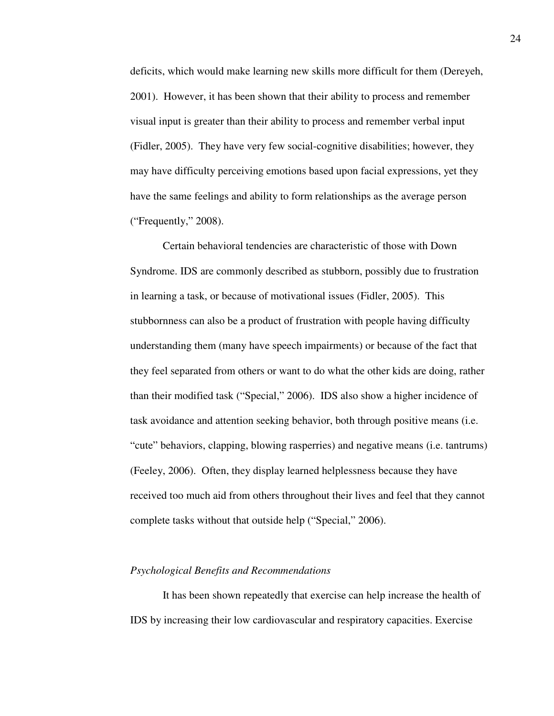deficits, which would make learning new skills more difficult for them (Dereyeh, 2001). However, it has been shown that their ability to process and remember visual input is greater than their ability to process and remember verbal input (Fidler, 2005). They have very few social-cognitive disabilities; however, they may have difficulty perceiving emotions based upon facial expressions, yet they have the same feelings and ability to form relationships as the average person ("Frequently," 2008).

Certain behavioral tendencies are characteristic of those with Down Syndrome. IDS are commonly described as stubborn, possibly due to frustration in learning a task, or because of motivational issues (Fidler, 2005). This stubbornness can also be a product of frustration with people having difficulty understanding them (many have speech impairments) or because of the fact that they feel separated from others or want to do what the other kids are doing, rather than their modified task ("Special," 2006). IDS also show a higher incidence of task avoidance and attention seeking behavior, both through positive means (i.e. "cute" behaviors, clapping, blowing rasperries) and negative means (i.e. tantrums) (Feeley, 2006). Often, they display learned helplessness because they have received too much aid from others throughout their lives and feel that they cannot complete tasks without that outside help ("Special," 2006).

#### *Psychological Benefits and Recommendations*

It has been shown repeatedly that exercise can help increase the health of IDS by increasing their low cardiovascular and respiratory capacities. Exercise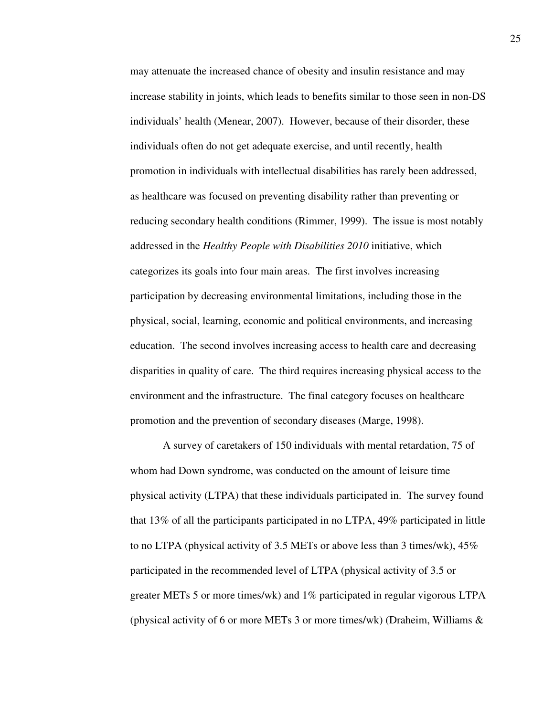may attenuate the increased chance of obesity and insulin resistance and may increase stability in joints, which leads to benefits similar to those seen in non-DS individuals' health (Menear, 2007). However, because of their disorder, these individuals often do not get adequate exercise, and until recently, health promotion in individuals with intellectual disabilities has rarely been addressed, as healthcare was focused on preventing disability rather than preventing or reducing secondary health conditions (Rimmer, 1999). The issue is most notably addressed in the *Healthy People with Disabilities 2010* initiative, which categorizes its goals into four main areas. The first involves increasing participation by decreasing environmental limitations, including those in the physical, social, learning, economic and political environments, and increasing education. The second involves increasing access to health care and decreasing disparities in quality of care. The third requires increasing physical access to the environment and the infrastructure. The final category focuses on healthcare promotion and the prevention of secondary diseases (Marge, 1998).

A survey of caretakers of 150 individuals with mental retardation, 75 of whom had Down syndrome, was conducted on the amount of leisure time physical activity (LTPA) that these individuals participated in. The survey found that 13% of all the participants participated in no LTPA, 49% participated in little to no LTPA (physical activity of 3.5 METs or above less than 3 times/wk),  $45\%$ participated in the recommended level of LTPA (physical activity of 3.5 or greater METs 5 or more times/wk) and 1% participated in regular vigorous LTPA (physical activity of 6 or more METs 3 or more times/wk) (Draheim, Williams  $\&$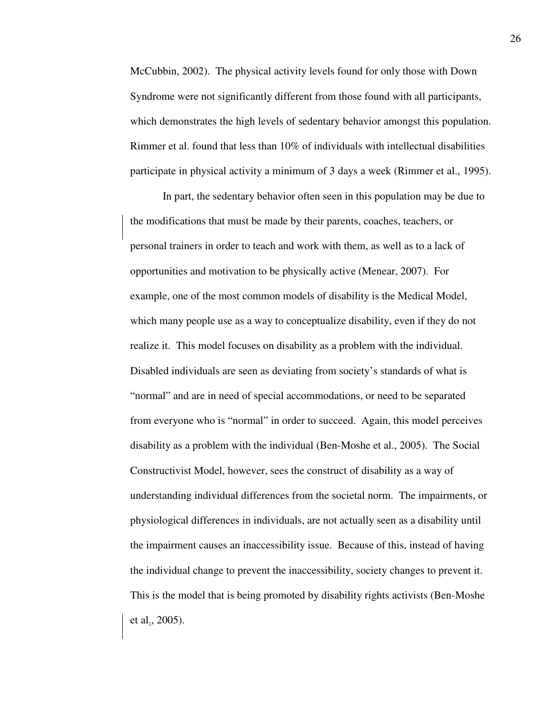McCubbin, 2002). The physical activity levels found for only those with Down Syndrome were not significantly different from those found with all participants, which demonstrates the high levels of sedentary behavior amongst this population. Rimmer et al. found that less than 10% of individuals with intellectual disabilities participate in physical activity a minimum of 3 days a week (Rimmer et al., 1995).

In part, the sedentary behavior often seen in this population may be due to the modifications that must be made by their parents, coaches, teachers, or personal trainers in order to teach and work with them, as well as to a lack of opportunities and motivation to be physically active (Menear, 2007). For example, one of the most common models of disability is the Medical Model, which many people use as a way to conceptualize disability, even if they do not realize it. This model focuses on disability as a problem with the individual. Disabled individuals are seen as deviating from society's standards of what is "normal" and are in need of special accommodations, or need to be separated from everyone who is "normal" in order to succeed. Again, this model perceives disability as a problem with the individual (Ben-Moshe et al., 2005). The Social Constructivist Model, however, sees the construct of disability as a way of understanding individual differences from the societal norm. The impairments, or physiological differences in individuals, are not actually seen as a disability until the impairment causes an inaccessibility issue. Because of this, instead of having the individual change to prevent the inaccessibility, society changes to prevent it. This is the model that is being promoted by disability rights activists (Ben-Moshe et al., 2005).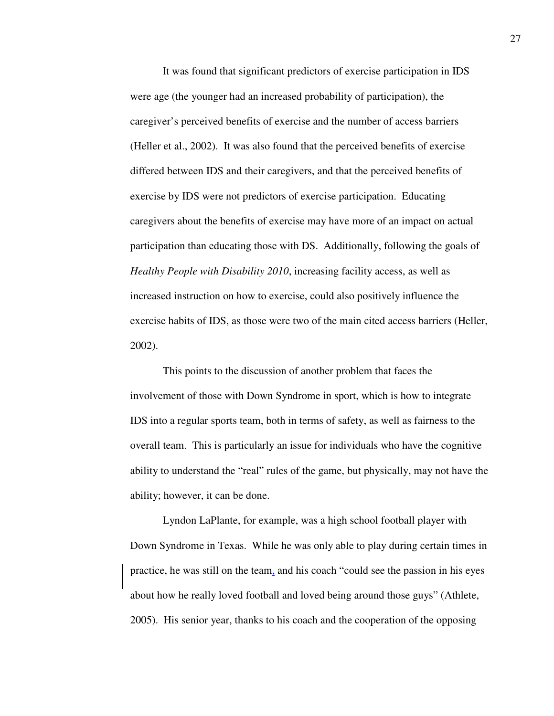It was found that significant predictors of exercise participation in IDS were age (the younger had an increased probability of participation), the caregiver's perceived benefits of exercise and the number of access barriers (Heller et al., 2002). It was also found that the perceived benefits of exercise differed between IDS and their caregivers, and that the perceived benefits of exercise by IDS were not predictors of exercise participation. Educating caregivers about the benefits of exercise may have more of an impact on actual participation than educating those with DS. Additionally, following the goals of *Healthy People with Disability 2010*, increasing facility access, as well as increased instruction on how to exercise, could also positively influence the exercise habits of IDS, as those were two of the main cited access barriers (Heller, 2002).

This points to the discussion of another problem that faces the involvement of those with Down Syndrome in sport, which is how to integrate IDS into a regular sports team, both in terms of safety, as well as fairness to the overall team. This is particularly an issue for individuals who have the cognitive ability to understand the "real" rules of the game, but physically, may not have the ability; however, it can be done.

Lyndon LaPlante, for example, was a high school football player with Down Syndrome in Texas. While he was only able to play during certain times in practice, he was still on the team, and his coach "could see the passion in his eyes about how he really loved football and loved being around those guys" (Athlete, 2005). His senior year, thanks to his coach and the cooperation of the opposing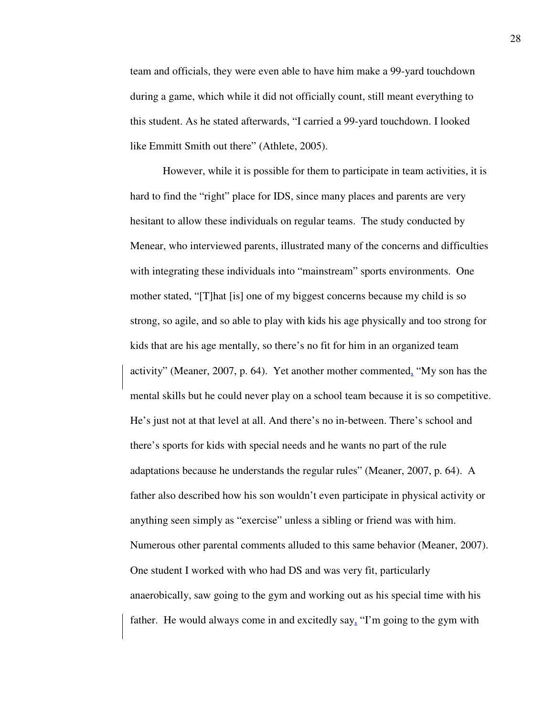team and officials, they were even able to have him make a 99-yard touchdown during a game, which while it did not officially count, still meant everything to this student. As he stated afterwards, "I carried a 99-yard touchdown. I looked like Emmitt Smith out there" (Athlete, 2005).

However, while it is possible for them to participate in team activities, it is hard to find the "right" place for IDS, since many places and parents are very hesitant to allow these individuals on regular teams. The study conducted by Menear, who interviewed parents, illustrated many of the concerns and difficulties with integrating these individuals into "mainstream" sports environments. One mother stated, "[T]hat [is] one of my biggest concerns because my child is so strong, so agile, and so able to play with kids his age physically and too strong for kids that are his age mentally, so there's no fit for him in an organized team activity" (Meaner, 2007, p. 64). Yet another mother commented, "My son has the mental skills but he could never play on a school team because it is so competitive. He's just not at that level at all. And there's no in-between. There's school and there's sports for kids with special needs and he wants no part of the rule adaptations because he understands the regular rules" (Meaner, 2007, p. 64). A father also described how his son wouldn't even participate in physical activity or anything seen simply as "exercise" unless a sibling or friend was with him. Numerous other parental comments alluded to this same behavior (Meaner, 2007). One student I worked with who had DS and was very fit, particularly anaerobically, saw going to the gym and working out as his special time with his father. He would always come in and excitedly  $\text{say}_2$  "I'm going to the gym with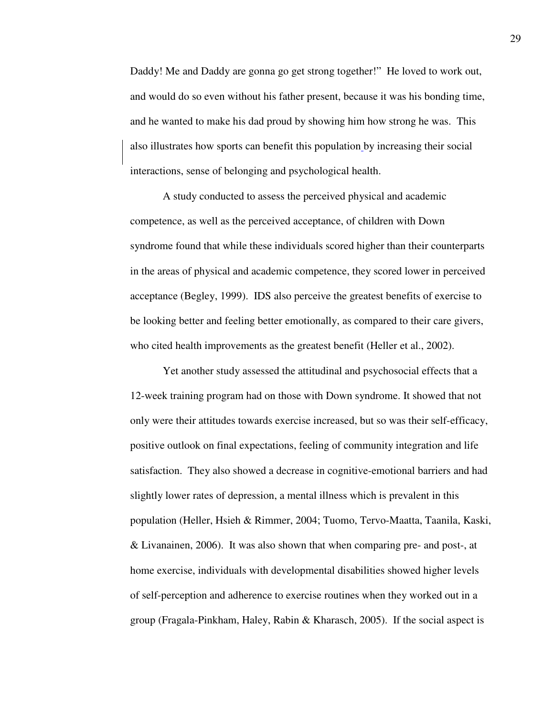Daddy! Me and Daddy are gonna go get strong together!" He loved to work out, and would do so even without his father present, because it was his bonding time, and he wanted to make his dad proud by showing him how strong he was. This also illustrates how sports can benefit this population by increasing their social interactions, sense of belonging and psychological health.

A study conducted to assess the perceived physical and academic competence, as well as the perceived acceptance, of children with Down syndrome found that while these individuals scored higher than their counterparts in the areas of physical and academic competence, they scored lower in perceived acceptance (Begley, 1999). IDS also perceive the greatest benefits of exercise to be looking better and feeling better emotionally, as compared to their care givers, who cited health improvements as the greatest benefit (Heller et al., 2002).

Yet another study assessed the attitudinal and psychosocial effects that a 12-week training program had on those with Down syndrome. It showed that not only were their attitudes towards exercise increased, but so was their self-efficacy, positive outlook on final expectations, feeling of community integration and life satisfaction. They also showed a decrease in cognitive-emotional barriers and had slightly lower rates of depression, a mental illness which is prevalent in this population (Heller, Hsieh & Rimmer, 2004; Tuomo, Tervo-Maatta, Taanila, Kaski, & Livanainen, 2006). It was also shown that when comparing pre- and post-, at home exercise, individuals with developmental disabilities showed higher levels of self-perception and adherence to exercise routines when they worked out in a group (Fragala-Pinkham, Haley, Rabin & Kharasch, 2005). If the social aspect is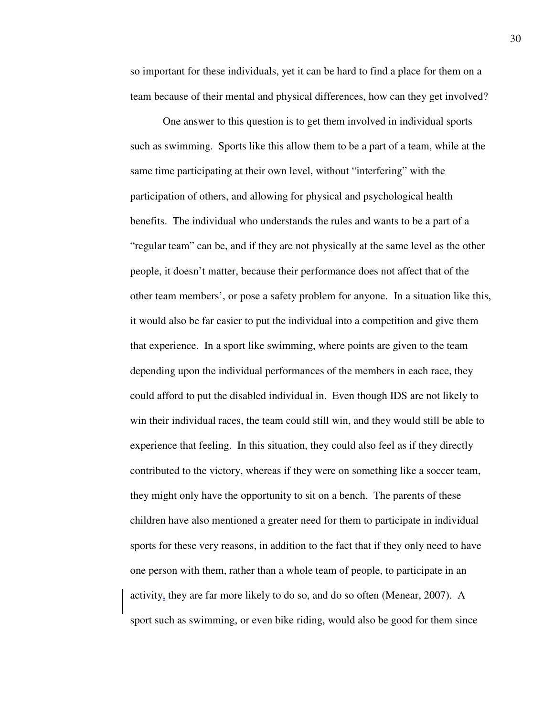so important for these individuals, yet it can be hard to find a place for them on a team because of their mental and physical differences, how can they get involved?

One answer to this question is to get them involved in individual sports such as swimming. Sports like this allow them to be a part of a team, while at the same time participating at their own level, without "interfering" with the participation of others, and allowing for physical and psychological health benefits. The individual who understands the rules and wants to be a part of a "regular team" can be, and if they are not physically at the same level as the other people, it doesn't matter, because their performance does not affect that of the other team members', or pose a safety problem for anyone. In a situation like this, it would also be far easier to put the individual into a competition and give them that experience. In a sport like swimming, where points are given to the team depending upon the individual performances of the members in each race, they could afford to put the disabled individual in. Even though IDS are not likely to win their individual races, the team could still win, and they would still be able to experience that feeling. In this situation, they could also feel as if they directly contributed to the victory, whereas if they were on something like a soccer team, they might only have the opportunity to sit on a bench. The parents of these children have also mentioned a greater need for them to participate in individual sports for these very reasons, in addition to the fact that if they only need to have one person with them, rather than a whole team of people, to participate in an activity, they are far more likely to do so, and do so often (Menear, 2007). A sport such as swimming, or even bike riding, would also be good for them since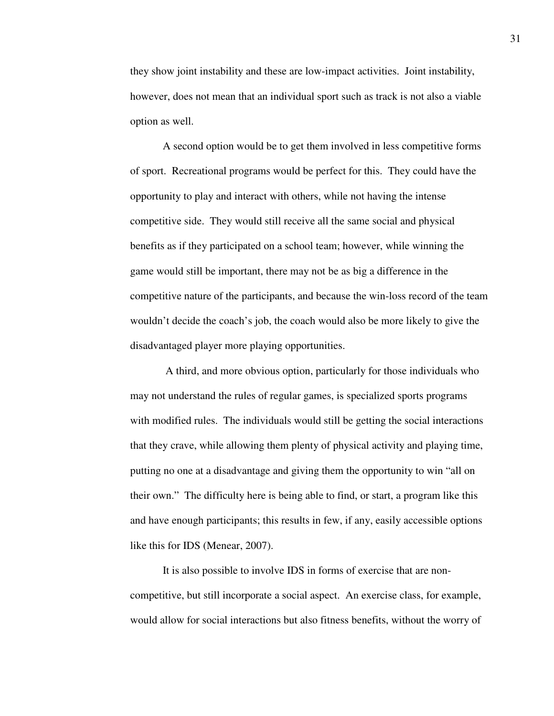they show joint instability and these are low-impact activities. Joint instability, however, does not mean that an individual sport such as track is not also a viable option as well.

 A second option would be to get them involved in less competitive forms of sport. Recreational programs would be perfect for this. They could have the opportunity to play and interact with others, while not having the intense competitive side. They would still receive all the same social and physical benefits as if they participated on a school team; however, while winning the game would still be important, there may not be as big a difference in the competitive nature of the participants, and because the win-loss record of the team wouldn't decide the coach's job, the coach would also be more likely to give the disadvantaged player more playing opportunities.

 A third, and more obvious option, particularly for those individuals who may not understand the rules of regular games, is specialized sports programs with modified rules. The individuals would still be getting the social interactions that they crave, while allowing them plenty of physical activity and playing time, putting no one at a disadvantage and giving them the opportunity to win "all on their own." The difficulty here is being able to find, or start, a program like this and have enough participants; this results in few, if any, easily accessible options like this for IDS (Menear, 2007).

It is also possible to involve IDS in forms of exercise that are noncompetitive, but still incorporate a social aspect. An exercise class, for example, would allow for social interactions but also fitness benefits, without the worry of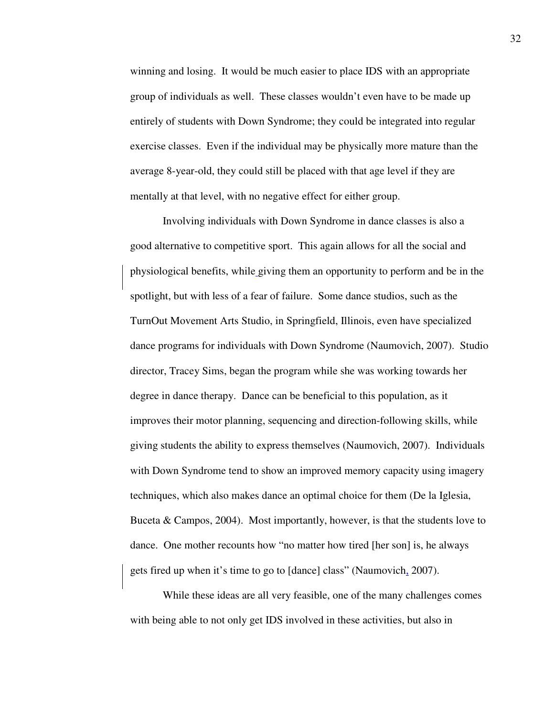winning and losing. It would be much easier to place IDS with an appropriate group of individuals as well. These classes wouldn't even have to be made up entirely of students with Down Syndrome; they could be integrated into regular exercise classes. Even if the individual may be physically more mature than the average 8-year-old, they could still be placed with that age level if they are mentally at that level, with no negative effect for either group.

Involving individuals with Down Syndrome in dance classes is also a good alternative to competitive sport. This again allows for all the social and physiological benefits, while giving them an opportunity to perform and be in the spotlight, but with less of a fear of failure. Some dance studios, such as the TurnOut Movement Arts Studio, in Springfield, Illinois, even have specialized dance programs for individuals with Down Syndrome (Naumovich, 2007). Studio director, Tracey Sims, began the program while she was working towards her degree in dance therapy. Dance can be beneficial to this population, as it improves their motor planning, sequencing and direction-following skills, while giving students the ability to express themselves (Naumovich, 2007). Individuals with Down Syndrome tend to show an improved memory capacity using imagery techniques, which also makes dance an optimal choice for them (De la Iglesia, Buceta & Campos, 2004). Most importantly, however, is that the students love to dance. One mother recounts how "no matter how tired [her son] is, he always gets fired up when it's time to go to [dance] class" (Naumovich, 2007).

While these ideas are all very feasible, one of the many challenges comes with being able to not only get IDS involved in these activities, but also in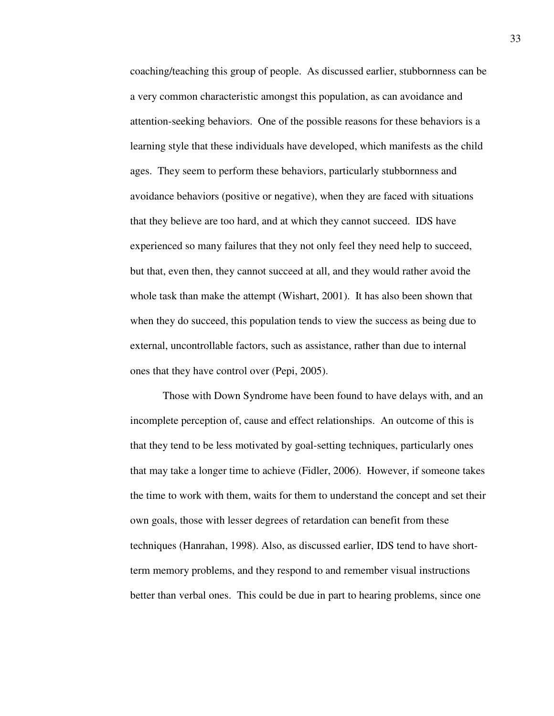coaching/teaching this group of people. As discussed earlier, stubbornness can be a very common characteristic amongst this population, as can avoidance and attention-seeking behaviors. One of the possible reasons for these behaviors is a learning style that these individuals have developed, which manifests as the child ages. They seem to perform these behaviors, particularly stubbornness and avoidance behaviors (positive or negative), when they are faced with situations that they believe are too hard, and at which they cannot succeed. IDS have experienced so many failures that they not only feel they need help to succeed, but that, even then, they cannot succeed at all, and they would rather avoid the whole task than make the attempt (Wishart, 2001). It has also been shown that when they do succeed, this population tends to view the success as being due to external, uncontrollable factors, such as assistance, rather than due to internal ones that they have control over (Pepi, 2005).

Those with Down Syndrome have been found to have delays with, and an incomplete perception of, cause and effect relationships. An outcome of this is that they tend to be less motivated by goal-setting techniques, particularly ones that may take a longer time to achieve (Fidler, 2006). However, if someone takes the time to work with them, waits for them to understand the concept and set their own goals, those with lesser degrees of retardation can benefit from these techniques (Hanrahan, 1998). Also, as discussed earlier, IDS tend to have shortterm memory problems, and they respond to and remember visual instructions better than verbal ones. This could be due in part to hearing problems, since one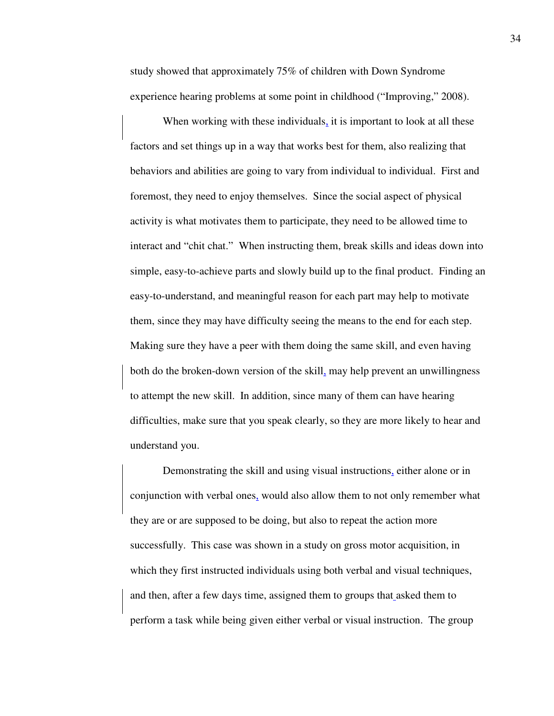study showed that approximately 75% of children with Down Syndrome experience hearing problems at some point in childhood ("Improving," 2008).

When working with these individuals, it is important to look at all these factors and set things up in a way that works best for them, also realizing that behaviors and abilities are going to vary from individual to individual. First and foremost, they need to enjoy themselves. Since the social aspect of physical activity is what motivates them to participate, they need to be allowed time to interact and "chit chat." When instructing them, break skills and ideas down into simple, easy-to-achieve parts and slowly build up to the final product. Finding an easy-to-understand, and meaningful reason for each part may help to motivate them, since they may have difficulty seeing the means to the end for each step. Making sure they have a peer with them doing the same skill, and even having both do the broken-down version of the skill, may help prevent an unwillingness to attempt the new skill. In addition, since many of them can have hearing difficulties, make sure that you speak clearly, so they are more likely to hear and understand you.

Demonstrating the skill and using visual instructions, either alone or in conjunction with verbal ones, would also allow them to not only remember what they are or are supposed to be doing, but also to repeat the action more successfully. This case was shown in a study on gross motor acquisition, in which they first instructed individuals using both verbal and visual techniques, and then, after a few days time, assigned them to groups that asked them to perform a task while being given either verbal or visual instruction. The group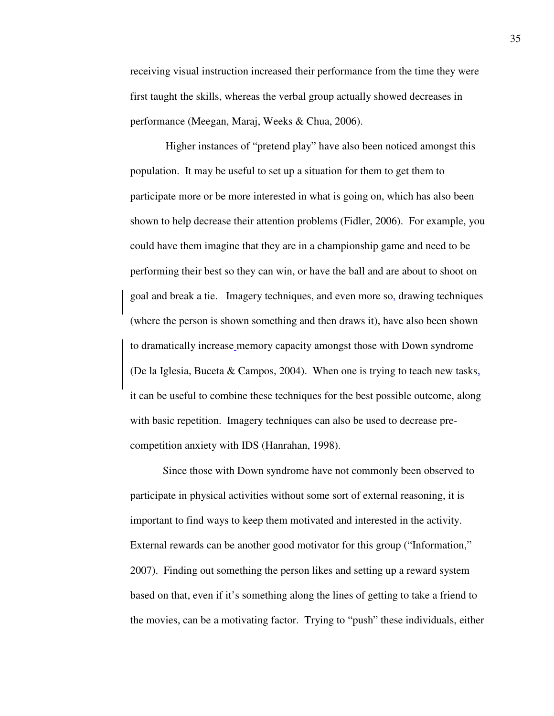receiving visual instruction increased their performance from the time they were first taught the skills, whereas the verbal group actually showed decreases in performance (Meegan, Maraj, Weeks & Chua, 2006).

 Higher instances of "pretend play" have also been noticed amongst this population. It may be useful to set up a situation for them to get them to participate more or be more interested in what is going on, which has also been shown to help decrease their attention problems (Fidler, 2006). For example, you could have them imagine that they are in a championship game and need to be performing their best so they can win, or have the ball and are about to shoot on goal and break a tie. Imagery techniques, and even more so, drawing techniques (where the person is shown something and then draws it), have also been shown to dramatically increase memory capacity amongst those with Down syndrome (De la Iglesia, Buceta & Campos, 2004). When one is trying to teach new tasks, it can be useful to combine these techniques for the best possible outcome, along with basic repetition. Imagery techniques can also be used to decrease precompetition anxiety with IDS (Hanrahan, 1998).

Since those with Down syndrome have not commonly been observed to participate in physical activities without some sort of external reasoning, it is important to find ways to keep them motivated and interested in the activity. External rewards can be another good motivator for this group ("Information," 2007). Finding out something the person likes and setting up a reward system based on that, even if it's something along the lines of getting to take a friend to the movies, can be a motivating factor. Trying to "push" these individuals, either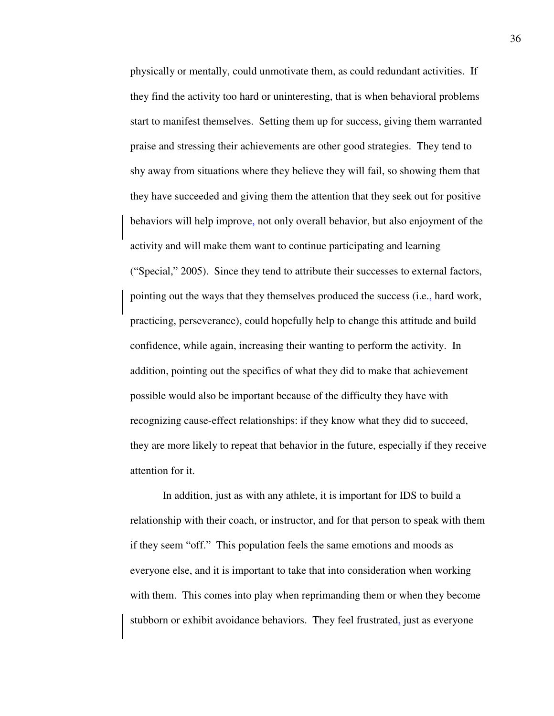physically or mentally, could unmotivate them, as could redundant activities. If they find the activity too hard or uninteresting, that is when behavioral problems start to manifest themselves. Setting them up for success, giving them warranted praise and stressing their achievements are other good strategies. They tend to shy away from situations where they believe they will fail, so showing them that they have succeeded and giving them the attention that they seek out for positive behaviors will help improve, not only overall behavior, but also enjoyment of the activity and will make them want to continue participating and learning ("Special," 2005). Since they tend to attribute their successes to external factors, pointing out the ways that they themselves produced the success (i.e., hard work, practicing, perseverance), could hopefully help to change this attitude and build confidence, while again, increasing their wanting to perform the activity. In addition, pointing out the specifics of what they did to make that achievement possible would also be important because of the difficulty they have with recognizing cause-effect relationships: if they know what they did to succeed, they are more likely to repeat that behavior in the future, especially if they receive attention for it.

In addition, just as with any athlete, it is important for IDS to build a relationship with their coach, or instructor, and for that person to speak with them if they seem "off." This population feels the same emotions and moods as everyone else, and it is important to take that into consideration when working with them. This comes into play when reprimanding them or when they become stubborn or exhibit avoidance behaviors. They feel frustrated, just as everyone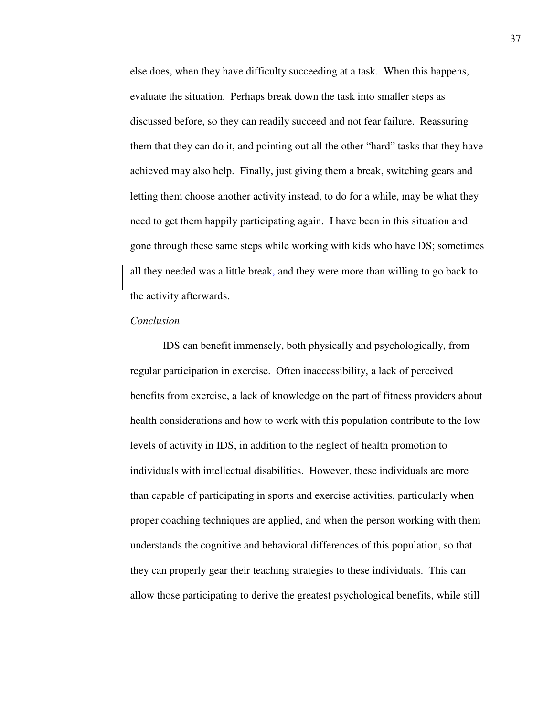else does, when they have difficulty succeeding at a task. When this happens, evaluate the situation. Perhaps break down the task into smaller steps as discussed before, so they can readily succeed and not fear failure. Reassuring them that they can do it, and pointing out all the other "hard" tasks that they have achieved may also help. Finally, just giving them a break, switching gears and letting them choose another activity instead, to do for a while, may be what they need to get them happily participating again. I have been in this situation and gone through these same steps while working with kids who have DS; sometimes all they needed was a little break, and they were more than willing to go back to the activity afterwards.

### *Conclusion*

IDS can benefit immensely, both physically and psychologically, from regular participation in exercise. Often inaccessibility, a lack of perceived benefits from exercise, a lack of knowledge on the part of fitness providers about health considerations and how to work with this population contribute to the low levels of activity in IDS, in addition to the neglect of health promotion to individuals with intellectual disabilities. However, these individuals are more than capable of participating in sports and exercise activities, particularly when proper coaching techniques are applied, and when the person working with them understands the cognitive and behavioral differences of this population, so that they can properly gear their teaching strategies to these individuals. This can allow those participating to derive the greatest psychological benefits, while still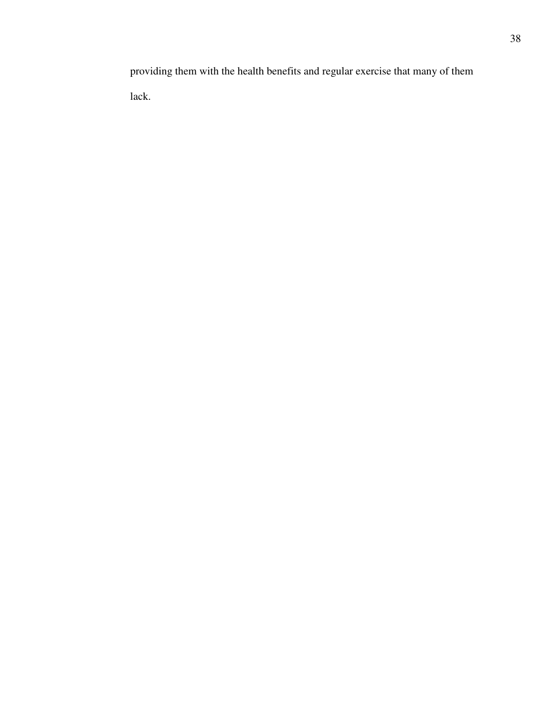providing them with the health benefits and regular exercise that many of them lack.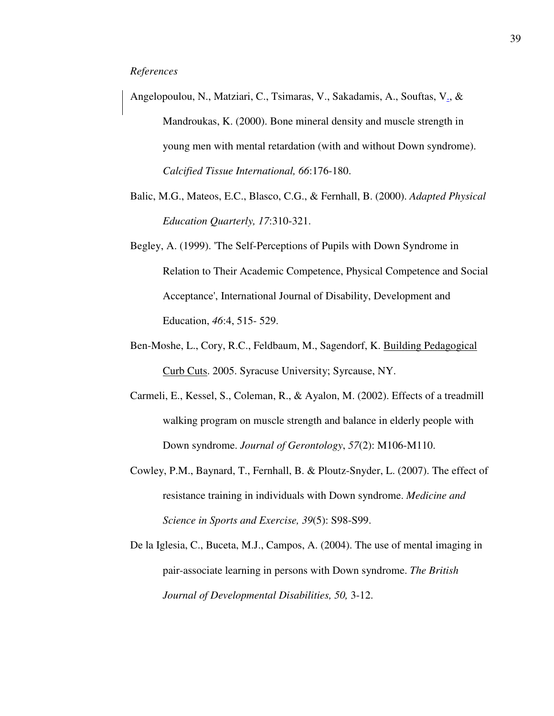- Angelopoulou, N., Matziari, C., Tsimaras, V., Sakadamis, A., Souftas, V., & Mandroukas, K. (2000). Bone mineral density and muscle strength in young men with mental retardation (with and without Down syndrome). *Calcified Tissue International, 66*:176-180.
- Balic, M.G., Mateos, E.C., Blasco, C.G., & Fernhall, B. (2000). *Adapted Physical Education Quarterly, 17*:310-321.
- Begley, A. (1999). 'The Self-Perceptions of Pupils with Down Syndrome in Relation to Their Academic Competence, Physical Competence and Social Acceptance', International Journal of Disability, Development and Education, *46*:4, 515- 529.
- Ben-Moshe, L., Cory, R.C., Feldbaum, M., Sagendorf, K. Building Pedagogical Curb Cuts. 2005. Syracuse University; Syrcause, NY.
- Carmeli, E., Kessel, S., Coleman, R., & Ayalon, M. (2002). Effects of a treadmill walking program on muscle strength and balance in elderly people with Down syndrome. *Journal of Gerontology*, *57*(2): M106-M110.
- Cowley, P.M., Baynard, T., Fernhall, B. & Ploutz-Snyder, L. (2007). The effect of resistance training in individuals with Down syndrome. *Medicine and Science in Sports and Exercise, 39*(5): S98-S99.
- De la Iglesia, C., Buceta, M.J., Campos, A. (2004). The use of mental imaging in pair-associate learning in persons with Down syndrome. *The British Journal of Developmental Disabilities, 50,* 3-12.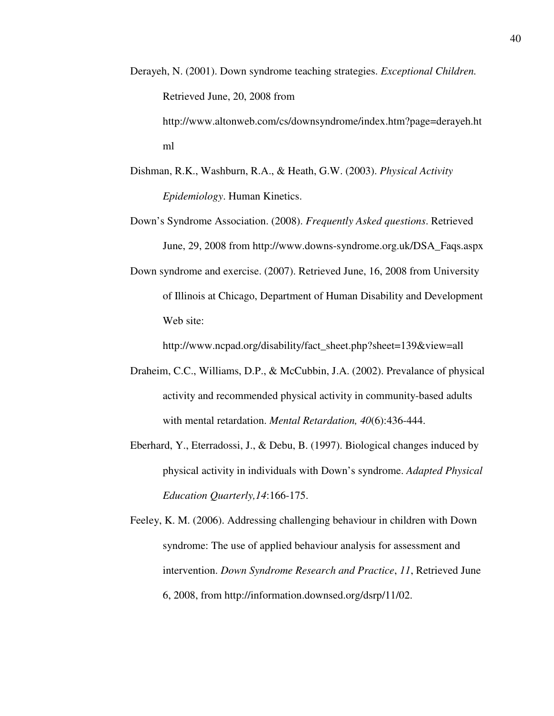- Derayeh, N. (2001). Down syndrome teaching strategies. *Exceptional Children.* Retrieved June, 20, 2008 from http://www.altonweb.com/cs/downsyndrome/index.htm?page=derayeh.ht ml
- Dishman, R.K., Washburn, R.A., & Heath, G.W. (2003). *Physical Activity Epidemiology*. Human Kinetics.
- Down's Syndrome Association. (2008). *Frequently Asked questions*. Retrieved June, 29, 2008 from http://www.downs-syndrome.org.uk/DSA\_Faqs.aspx
- Down syndrome and exercise. (2007). Retrieved June, 16, 2008 from University of Illinois at Chicago, Department of Human Disability and Development Web site:

http://www.ncpad.org/disability/fact\_sheet.php?sheet=139&view=all

- Draheim, C.C., Williams, D.P., & McCubbin, J.A. (2002). Prevalance of physical activity and recommended physical activity in community-based adults with mental retardation. *Mental Retardation, 40*(6):436-444.
- Eberhard, Y., Eterradossi, J., & Debu, B. (1997). Biological changes induced by physical activity in individuals with Down's syndrome. *Adapted Physical Education Quarterly,14*:166-175.
- Feeley, K. M. (2006). Addressing challenging behaviour in children with Down syndrome: The use of applied behaviour analysis for assessment and intervention. *Down Syndrome Research and Practice*, *11*, Retrieved June 6, 2008, from http://information.downsed.org/dsrp/11/02.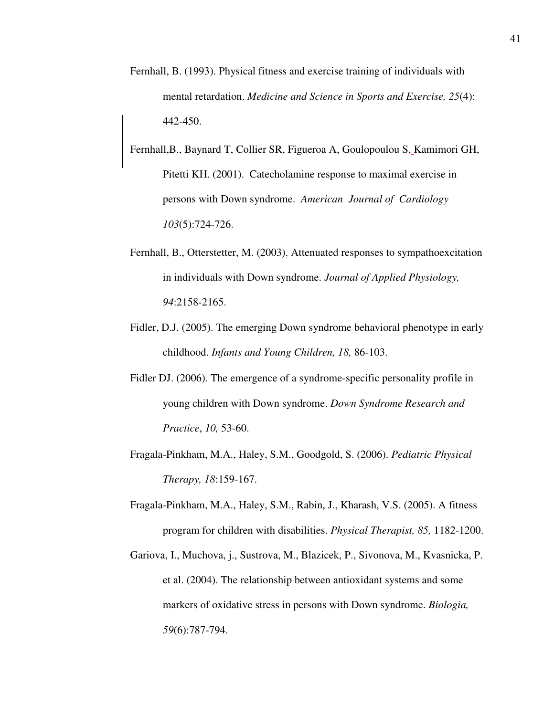- Fernhall, B. (1993). Physical fitness and exercise training of individuals with mental retardation. *Medicine and Science in Sports and Exercise, 25*(4): 442-450.
- Fernhall,B., Baynard T, Collier SR, Figueroa A, Goulopoulou S, Kamimori GH, Pitetti KH. (2001). Catecholamine response to maximal exercise in persons with Down syndrome. *American Journal of Cardiology 103*(5):724-726.
- Fernhall, B., Otterstetter, M. (2003). Attenuated responses to sympathoexcitation in individuals with Down syndrome. *Journal of Applied Physiology, 94*:2158-2165.
- Fidler, D.J. (2005). The emerging Down syndrome behavioral phenotype in early childhood. *Infants and Young Children, 18,* 86-103.
- Fidler DJ. (2006). The emergence of a syndrome-specific personality profile in young children with Down syndrome. *Down Syndrome Research and Practice*, *10,* 53-60.
- Fragala-Pinkham, M.A., Haley, S.M., Goodgold, S. (2006). *Pediatric Physical Therapy, 18*:159-167.
- Fragala-Pinkham, M.A., Haley, S.M., Rabin, J., Kharash, V.S. (2005). A fitness program for children with disabilities. *Physical Therapist, 85,* 1182-1200.
- Gariova, I., Muchova, j., Sustrova, M., Blazicek, P., Sivonova, M., Kvasnicka, P. et al. (2004). The relationship between antioxidant systems and some markers of oxidative stress in persons with Down syndrome. *Biologia, 59*(6):787-794.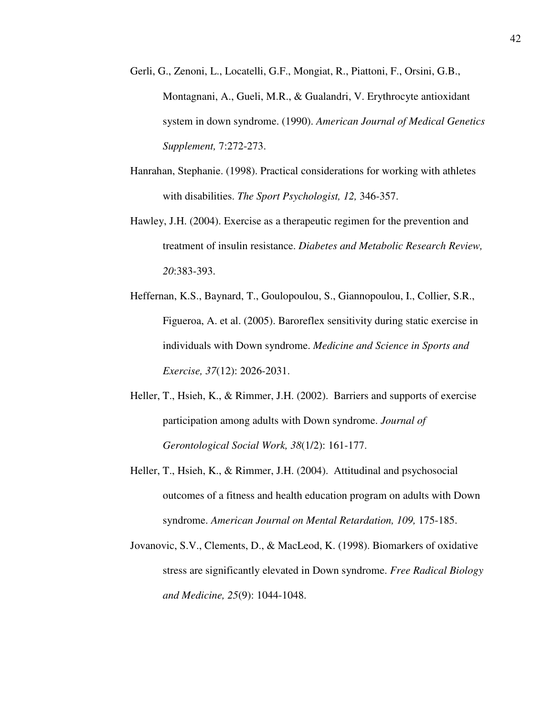- Gerli, G., Zenoni, L., Locatelli, G.F., Mongiat, R., Piattoni, F., Orsini, G.B., Montagnani, A., Gueli, M.R., & Gualandri, V. Erythrocyte antioxidant system in down syndrome. (1990). *American Journal of Medical Genetics Supplement,* 7:272-273.
- Hanrahan, Stephanie. (1998). Practical considerations for working with athletes with disabilities. *The Sport Psychologist, 12,* 346-357.
- Hawley, J.H. (2004). Exercise as a therapeutic regimen for the prevention and treatment of insulin resistance. *Diabetes and Metabolic Research Review, 20*:383-393.
- Heffernan, K.S., Baynard, T., Goulopoulou, S., Giannopoulou, I., Collier, S.R., Figueroa, A. et al. (2005). Baroreflex sensitivity during static exercise in individuals with Down syndrome. *Medicine and Science in Sports and Exercise, 37*(12): 2026-2031.
- Heller, T., Hsieh, K., & Rimmer, J.H. (2002). Barriers and supports of exercise participation among adults with Down syndrome. *Journal of Gerontological Social Work, 38*(1/2): 161-177.
- Heller, T., Hsieh, K., & Rimmer, J.H. (2004). Attitudinal and psychosocial outcomes of a fitness and health education program on adults with Down syndrome. *American Journal on Mental Retardation, 109,* 175-185.
- Jovanovic, S.V., Clements, D., & MacLeod, K. (1998). Biomarkers of oxidative stress are significantly elevated in Down syndrome. *Free Radical Biology and Medicine, 25*(9): 1044-1048.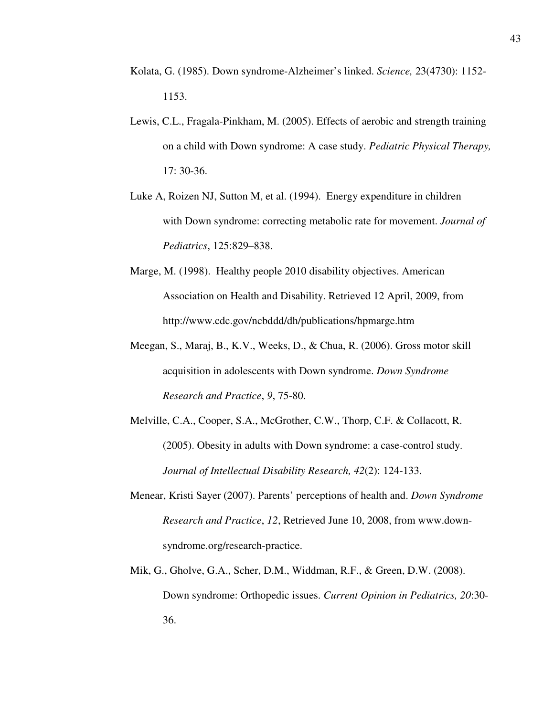- Kolata, G. (1985). Down syndrome-Alzheimer's linked. *Science,* 23(4730): 1152- 1153.
- Lewis, C.L., Fragala-Pinkham, M. (2005). Effects of aerobic and strength training on a child with Down syndrome: A case study. *Pediatric Physical Therapy,* 17: 30-36.
- Luke A, Roizen NJ, Sutton M, et al. (1994). Energy expenditure in children with Down syndrome: correcting metabolic rate for movement. *Journal of Pediatrics*, 125:829–838.
- Marge, M. (1998). Healthy people 2010 disability objectives. American Association on Health and Disability. Retrieved 12 April, 2009, from http://www.cdc.gov/ncbddd/dh/publications/hpmarge.htm
- Meegan, S., Maraj, B., K.V., Weeks, D., & Chua, R. (2006). Gross motor skill acquisition in adolescents with Down syndrome. *Down Syndrome Research and Practice*, *9*, 75-80.
- Melville, C.A., Cooper, S.A., McGrother, C.W., Thorp, C.F. & Collacott, R. (2005). Obesity in adults with Down syndrome: a case-control study. *Journal of Intellectual Disability Research, 42*(2): 124-133.
- Menear, Kristi Sayer (2007). Parents' perceptions of health and. *Down Syndrome Research and Practice*, *12*, Retrieved June 10, 2008, from www.downsyndrome.org/research-practice.
- Mik, G., Gholve, G.A., Scher, D.M., Widdman, R.F., & Green, D.W. (2008). Down syndrome: Orthopedic issues. *Current Opinion in Pediatrics, 20*:30- 36.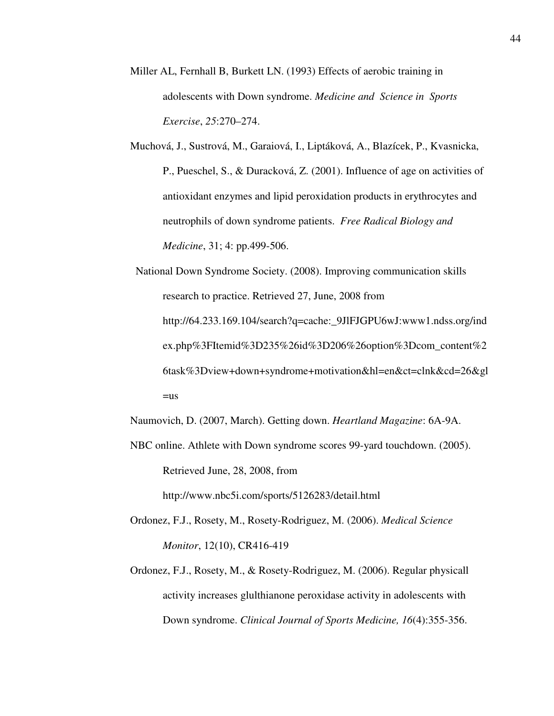- Miller AL, Fernhall B, Burkett LN. (1993) Effects of aerobic training in adolescents with Down syndrome. *Medicine and Science in Sports Exercise*, *25*:270–274.
- Muchová, J., Sustrová, M., Garaiová, I., Liptáková, A., Blazícek, P., Kvasnicka, P., Pueschel, S., & Duracková, Z. (2001). Influence of age on activities of antioxidant enzymes and lipid peroxidation products in erythrocytes and neutrophils of down syndrome patients. *Free Radical Biology and Medicine*, 31; 4: pp.499-506.
- National Down Syndrome Society. (2008). Improving communication skills research to practice. Retrieved 27, June, 2008 from http://64.233.169.104/search?q=cache:\_9JlFJGPU6wJ:www1.ndss.org/ind ex.php%3FItemid%3D235%26id%3D206%26option%3Dcom\_content%2 6task%3Dview+down+syndrome+motivation&hl=en&ct=clnk&cd=26&gl  $=$ us

Naumovich, D. (2007, March). Getting down. *Heartland Magazine*: 6A-9A.

NBC online. Athlete with Down syndrome scores 99-yard touchdown. (2005). Retrieved June, 28, 2008, from

http://www.nbc5i.com/sports/5126283/detail.html

- Ordonez, F.J., Rosety, M., Rosety-Rodriguez, M. (2006). *Medical Science Monitor*, 12(10), CR416-419
- Ordonez, F.J., Rosety, M., & Rosety-Rodriguez, M. (2006). Regular physicall activity increases glulthianone peroxidase activity in adolescents with Down syndrome. *Clinical Journal of Sports Medicine, 16*(4):355-356.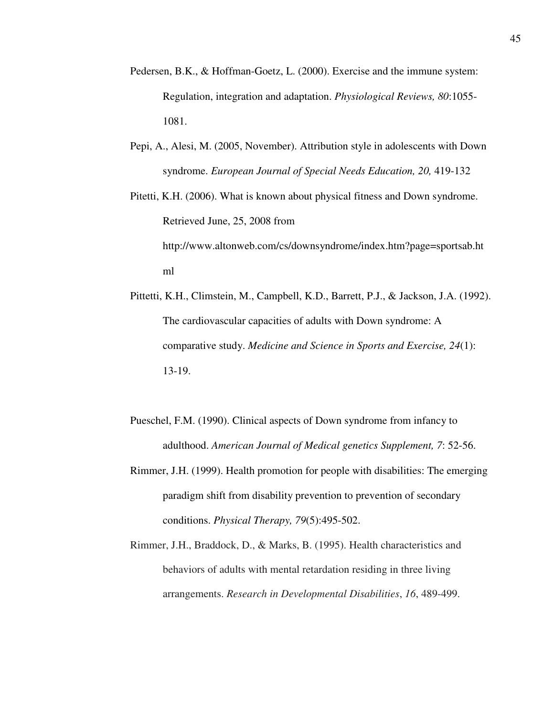- Pedersen, B.K., & Hoffman-Goetz, L. (2000). Exercise and the immune system: Regulation, integration and adaptation. *Physiological Reviews, 80*:1055- 1081.
- Pepi, A., Alesi, M. (2005, November). Attribution style in adolescents with Down syndrome. *European Journal of Special Needs Education, 20,* 419-132

Pitetti, K.H. (2006). What is known about physical fitness and Down syndrome. Retrieved June, 25, 2008 from http://www.altonweb.com/cs/downsyndrome/index.htm?page=sportsab.ht ml

- Pittetti, K.H., Climstein, M., Campbell, K.D., Barrett, P.J., & Jackson, J.A. (1992). The cardiovascular capacities of adults with Down syndrome: A comparative study. *Medicine and Science in Sports and Exercise, 24*(1): 13-19.
- Pueschel, F.M. (1990). Clinical aspects of Down syndrome from infancy to adulthood. *American Journal of Medical genetics Supplement, 7*: 52-56.
- Rimmer, J.H. (1999). Health promotion for people with disabilities: The emerging paradigm shift from disability prevention to prevention of secondary conditions. *Physical Therapy, 79*(5):495-502.
- Rimmer, J.H., Braddock, D., & Marks, B. (1995). Health characteristics and behaviors of adults with mental retardation residing in three living arrangements. *Research in Developmental Disabilities*, *16*, 489-499.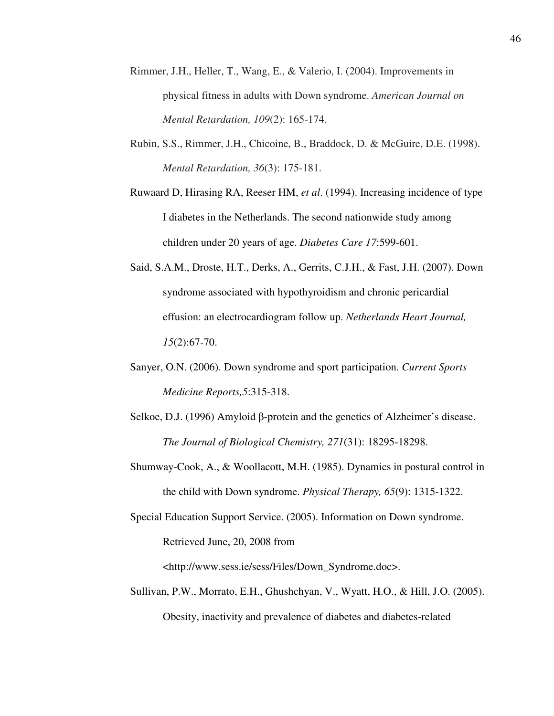- Rimmer, J.H., Heller, T., Wang, E., & Valerio, I. (2004). Improvements in physical fitness in adults with Down syndrome. *American Journal on Mental Retardation, 109*(2): 165-174.
- Rubin, S.S., Rimmer, J.H., Chicoine, B., Braddock, D. & McGuire, D.E. (1998). *Mental Retardation, 36*(3): 175-181.

Ruwaard D, Hirasing RA, Reeser HM, *et al*. (1994). Increasing incidence of type I diabetes in the Netherlands. The second nationwide study among children under 20 years of age. *Diabetes Care 17*:599-601.

- Said, S.A.M., Droste, H.T., Derks, A., Gerrits, C.J.H., & Fast, J.H. (2007). Down syndrome associated with hypothyroidism and chronic pericardial effusion: an electrocardiogram follow up. *Netherlands Heart Journal, 15*(2):67-70.
- Sanyer, O.N. (2006). Down syndrome and sport participation. *Current Sports Medicine Reports,5*:315-318.
- Selkoe, D.J. (1996) Amyloid β-protein and the genetics of Alzheimer's disease. *The Journal of Biological Chemistry, 271*(31): 18295-18298.
- Shumway-Cook, A., & Woollacott, M.H. (1985). Dynamics in postural control in the child with Down syndrome. *Physical Therapy, 65*(9): 1315-1322.
- Special Education Support Service. (2005). Information on Down syndrome. Retrieved June, 20, 2008 from

<http://www.sess.ie/sess/Files/Down\_Syndrome.doc>.

Sullivan, P.W., Morrato, E.H., Ghushchyan, V., Wyatt, H.O., & Hill, J.O. (2005). Obesity, inactivity and prevalence of diabetes and diabetes-related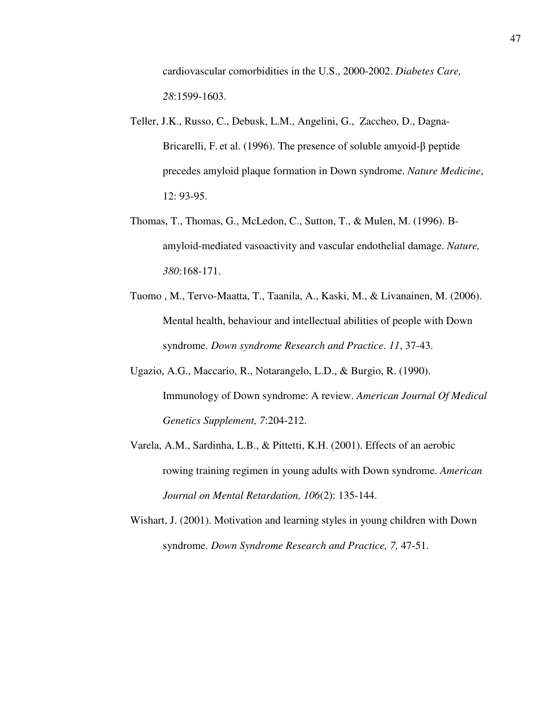cardiovascular comorbidities in the U.S., 2000-2002. *Diabetes Care, 28*:1599-1603.

- Teller, J.K., Russo, C., Debusk, L.M., Angelini, G., Zaccheo, D., Dagna-Bricarelli, F. et al. (1996). The presence of soluble amyoid-β peptide precedes amyloid plaque formation in Down syndrome. *Nature Medicine*, 12: 93-95.
- Thomas, T., Thomas, G., McLedon, C., Sutton, T., & Mulen, M. (1996). Βamyloid-mediated vasoactivity and vascular endothelial damage. *Nature, 380*:168-171.
- Tuomo , M., Tervo-Maatta, T., Taanila, A., Kaski, M., & Livanainen, M. (2006). Mental health, behaviour and intellectual abilities of people with Down syndrome. *Down syndrome Research and Practice*. *11*, 37-43.
- Ugazio, A.G., Maccario, R., Notarangelo, L.D., & Burgio, R. (1990). Immunology of Down syndrome: A review. *American Journal Of Medical Genetics Supplement, 7*:204-212.
- Varela, A.M., Sardinha, L.B., & Pittetti, K.H. (2001). Effects of an aerobic rowing training regimen in young adults with Down syndrome. *American Journal on Mental Retardation, 106*(2): 135-144.
- Wishart, J. (2001). Motivation and learning styles in young children with Down syndrome. *Down Syndrome Research and Practice, 7,* 47-51.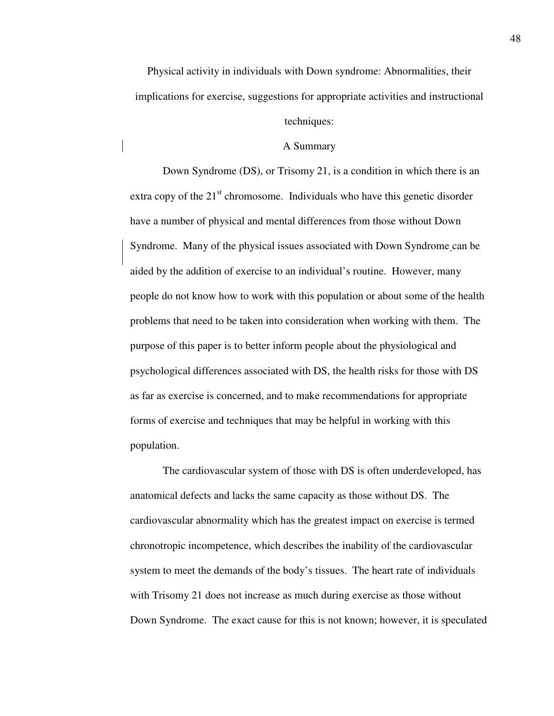Physical activity in individuals with Down syndrome: Abnormalities, their implications for exercise, suggestions for appropriate activities and instructional techniques:

#### A Summary

Down Syndrome (DS), or Trisomy 21, is a condition in which there is an extra copy of the  $21<sup>st</sup>$  chromosome. Individuals who have this genetic disorder have a number of physical and mental differences from those without Down Syndrome. Many of the physical issues associated with Down Syndrome can be aided by the addition of exercise to an individual's routine. However, many people do not know how to work with this population or about some of the health problems that need to be taken into consideration when working with them. The purpose of this paper is to better inform people about the physiological and psychological differences associated with DS, the health risks for those with DS as far as exercise is concerned, and to make recommendations for appropriate forms of exercise and techniques that may be helpful in working with this population.

 The cardiovascular system of those with DS is often underdeveloped, has anatomical defects and lacks the same capacity as those without DS. The cardiovascular abnormality which has the greatest impact on exercise is termed chronotropic incompetence, which describes the inability of the cardiovascular system to meet the demands of the body's tissues. The heart rate of individuals with Trisomy 21 does not increase as much during exercise as those without Down Syndrome. The exact cause for this is not known; however, it is speculated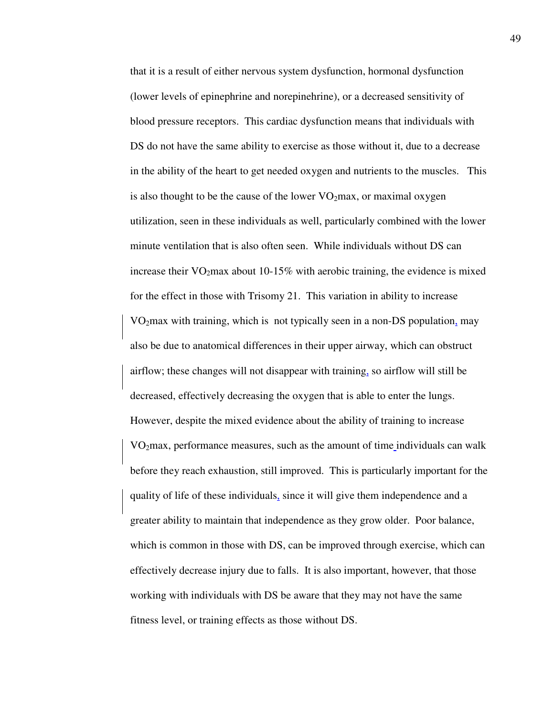that it is a result of either nervous system dysfunction, hormonal dysfunction (lower levels of epinephrine and norepinehrine), or a decreased sensitivity of blood pressure receptors. This cardiac dysfunction means that individuals with DS do not have the same ability to exercise as those without it, due to a decrease in the ability of the heart to get needed oxygen and nutrients to the muscles. This is also thought to be the cause of the lower  $VO<sub>2</sub>max$ , or maximal oxygen utilization, seen in these individuals as well, particularly combined with the lower minute ventilation that is also often seen. While individuals without DS can increase their  $VO<sub>2</sub>max$  about 10-15% with aerobic training, the evidence is mixed for the effect in those with Trisomy 21. This variation in ability to increase VO2max with training, which is not typically seen in a non-DS population, may also be due to anatomical differences in their upper airway, which can obstruct airflow; these changes will not disappear with training, so airflow will still be decreased, effectively decreasing the oxygen that is able to enter the lungs. However, despite the mixed evidence about the ability of training to increase VO2max, performance measures, such as the amount of time individuals can walk before they reach exhaustion, still improved. This is particularly important for the quality of life of these individuals, since it will give them independence and a greater ability to maintain that independence as they grow older. Poor balance, which is common in those with DS, can be improved through exercise, which can effectively decrease injury due to falls. It is also important, however, that those working with individuals with DS be aware that they may not have the same fitness level, or training effects as those without DS.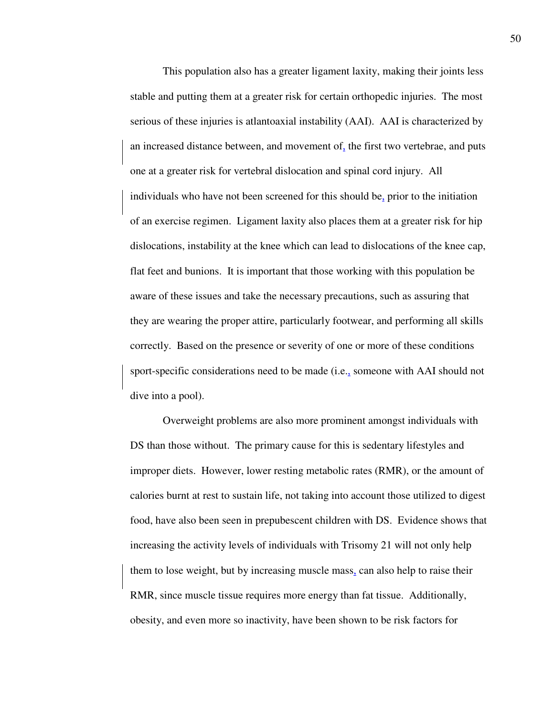This population also has a greater ligament laxity, making their joints less stable and putting them at a greater risk for certain orthopedic injuries. The most serious of these injuries is atlantoaxial instability (AAI). AAI is characterized by an increased distance between, and movement of, the first two vertebrae, and puts one at a greater risk for vertebral dislocation and spinal cord injury. All individuals who have not been screened for this should be, prior to the initiation of an exercise regimen. Ligament laxity also places them at a greater risk for hip dislocations, instability at the knee which can lead to dislocations of the knee cap, flat feet and bunions. It is important that those working with this population be aware of these issues and take the necessary precautions, such as assuring that they are wearing the proper attire, particularly footwear, and performing all skills correctly. Based on the presence or severity of one or more of these conditions sport-specific considerations need to be made (i.e., someone with AAI should not dive into a pool).

 Overweight problems are also more prominent amongst individuals with DS than those without. The primary cause for this is sedentary lifestyles and improper diets. However, lower resting metabolic rates (RMR), or the amount of calories burnt at rest to sustain life, not taking into account those utilized to digest food, have also been seen in prepubescent children with DS. Evidence shows that increasing the activity levels of individuals with Trisomy 21 will not only help them to lose weight, but by increasing muscle mass, can also help to raise their RMR, since muscle tissue requires more energy than fat tissue. Additionally, obesity, and even more so inactivity, have been shown to be risk factors for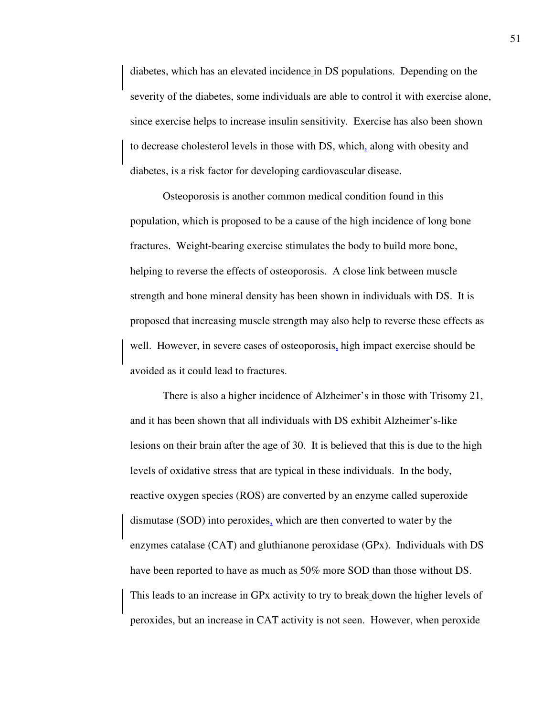diabetes, which has an elevated incidence in DS populations. Depending on the severity of the diabetes, some individuals are able to control it with exercise alone, since exercise helps to increase insulin sensitivity. Exercise has also been shown to decrease cholesterol levels in those with DS, which, along with obesity and diabetes, is a risk factor for developing cardiovascular disease.

 Osteoporosis is another common medical condition found in this population, which is proposed to be a cause of the high incidence of long bone fractures. Weight-bearing exercise stimulates the body to build more bone, helping to reverse the effects of osteoporosis. A close link between muscle strength and bone mineral density has been shown in individuals with DS. It is proposed that increasing muscle strength may also help to reverse these effects as well. However, in severe cases of osteoporosis, high impact exercise should be avoided as it could lead to fractures.

 There is also a higher incidence of Alzheimer's in those with Trisomy 21, and it has been shown that all individuals with DS exhibit Alzheimer's-like lesions on their brain after the age of 30. It is believed that this is due to the high levels of oxidative stress that are typical in these individuals. In the body, reactive oxygen species (ROS) are converted by an enzyme called superoxide dismutase (SOD) into peroxides, which are then converted to water by the enzymes catalase (CAT) and gluthianone peroxidase (GPx). Individuals with DS have been reported to have as much as 50% more SOD than those without DS. This leads to an increase in GPx activity to try to break down the higher levels of peroxides, but an increase in CAT activity is not seen. However, when peroxide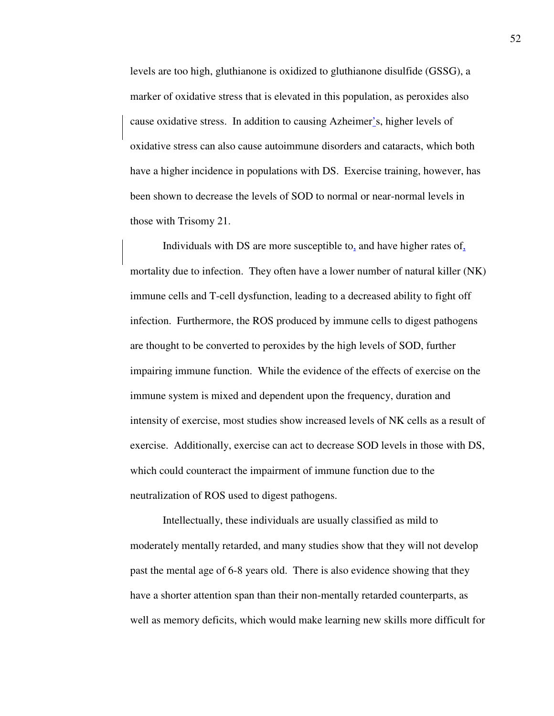levels are too high, gluthianone is oxidized to gluthianone disulfide (GSSG), a marker of oxidative stress that is elevated in this population, as peroxides also cause oxidative stress. In addition to causing Azheimer's, higher levels of oxidative stress can also cause autoimmune disorders and cataracts, which both have a higher incidence in populations with DS. Exercise training, however, has been shown to decrease the levels of SOD to normal or near-normal levels in those with Trisomy 21.

 Individuals with DS are more susceptible to, and have higher rates of, mortality due to infection. They often have a lower number of natural killer (NK) immune cells and T-cell dysfunction, leading to a decreased ability to fight off infection. Furthermore, the ROS produced by immune cells to digest pathogens are thought to be converted to peroxides by the high levels of SOD, further impairing immune function. While the evidence of the effects of exercise on the immune system is mixed and dependent upon the frequency, duration and intensity of exercise, most studies show increased levels of NK cells as a result of exercise. Additionally, exercise can act to decrease SOD levels in those with DS, which could counteract the impairment of immune function due to the neutralization of ROS used to digest pathogens.

 Intellectually, these individuals are usually classified as mild to moderately mentally retarded, and many studies show that they will not develop past the mental age of 6-8 years old. There is also evidence showing that they have a shorter attention span than their non-mentally retarded counterparts, as well as memory deficits, which would make learning new skills more difficult for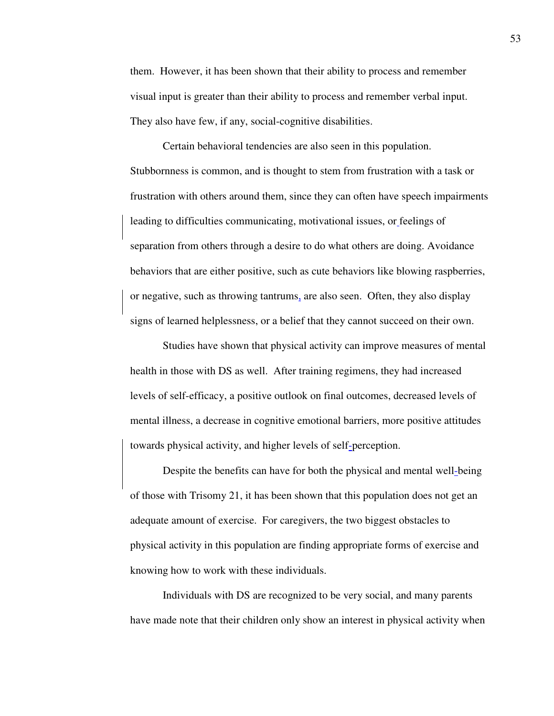them. However, it has been shown that their ability to process and remember visual input is greater than their ability to process and remember verbal input. They also have few, if any, social-cognitive disabilities.

 Certain behavioral tendencies are also seen in this population. Stubbornness is common, and is thought to stem from frustration with a task or frustration with others around them, since they can often have speech impairments leading to difficulties communicating, motivational issues, or feelings of separation from others through a desire to do what others are doing. Avoidance behaviors that are either positive, such as cute behaviors like blowing raspberries, or negative, such as throwing tantrums, are also seen. Often, they also display signs of learned helplessness, or a belief that they cannot succeed on their own.

 Studies have shown that physical activity can improve measures of mental health in those with DS as well. After training regimens, they had increased levels of self-efficacy, a positive outlook on final outcomes, decreased levels of mental illness, a decrease in cognitive emotional barriers, more positive attitudes towards physical activity, and higher levels of self-perception.

 Despite the benefits can have for both the physical and mental well-being of those with Trisomy 21, it has been shown that this population does not get an adequate amount of exercise. For caregivers, the two biggest obstacles to physical activity in this population are finding appropriate forms of exercise and knowing how to work with these individuals.

 Individuals with DS are recognized to be very social, and many parents have made note that their children only show an interest in physical activity when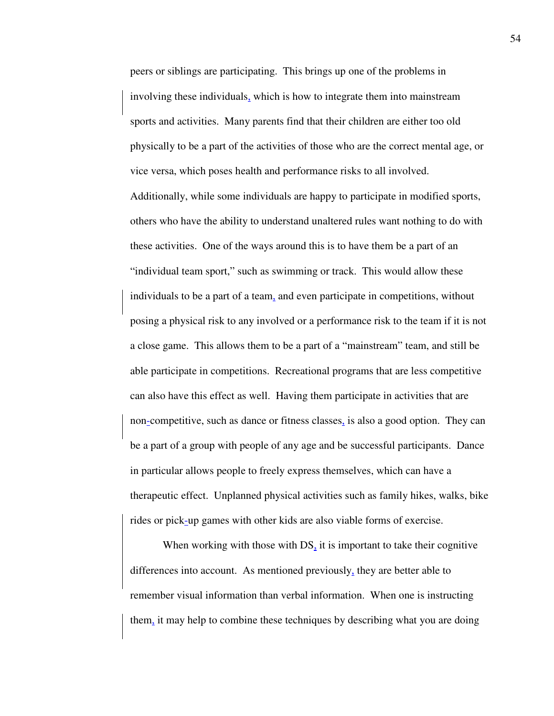peers or siblings are participating. This brings up one of the problems in involving these individuals, which is how to integrate them into mainstream sports and activities. Many parents find that their children are either too old physically to be a part of the activities of those who are the correct mental age, or vice versa, which poses health and performance risks to all involved. Additionally, while some individuals are happy to participate in modified sports, others who have the ability to understand unaltered rules want nothing to do with these activities. One of the ways around this is to have them be a part of an "individual team sport," such as swimming or track. This would allow these individuals to be a part of a team, and even participate in competitions, without posing a physical risk to any involved or a performance risk to the team if it is not a close game. This allows them to be a part of a "mainstream" team, and still be able participate in competitions. Recreational programs that are less competitive can also have this effect as well. Having them participate in activities that are non-competitive, such as dance or fitness classes, is also a good option. They can be a part of a group with people of any age and be successful participants. Dance in particular allows people to freely express themselves, which can have a therapeutic effect. Unplanned physical activities such as family hikes, walks, bike rides or pick-up games with other kids are also viable forms of exercise.

When working with those with DS, it is important to take their cognitive differences into account. As mentioned previously, they are better able to remember visual information than verbal information. When one is instructing them, it may help to combine these techniques by describing what you are doing